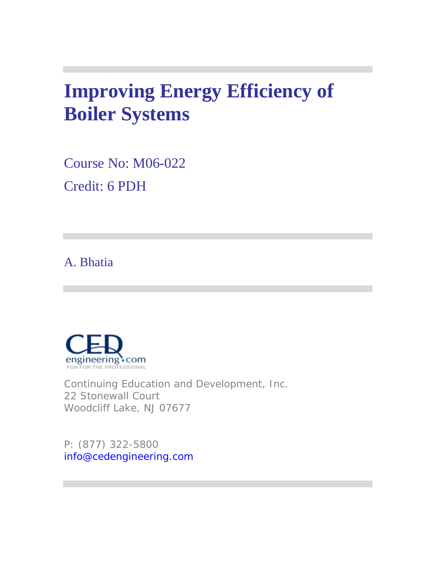# **Improving Energy Efficiency of Boiler Systems**

Course No: M06-022 Credit: 6 PDH

# A. Bhatia



Continuing Education and Development, Inc. 22 Stonewall Court Woodcliff Lake, NJ 07677

P: (877) 322-5800 info@cedengineering.com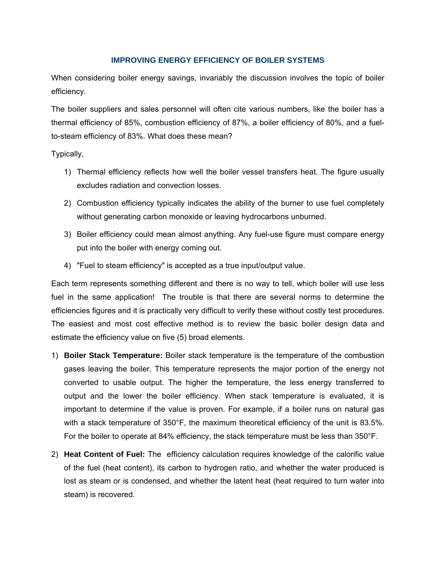# **IMPROVING ENERGY EFFICIENCY OF BOILER SYSTEMS**

When considering boiler energy savings, invariably the discussion involves the topic of boiler efficiency.

The boiler suppliers and sales personnel will often cite various numbers, like the boiler has a thermal efficiency of 85%, combustion efficiency of 87%, a boiler efficiency of 80%, and a fuelto-steam efficiency of 83%. What does these mean?

Typically,

- 1) Thermal efficiency reflects how well the boiler vessel transfers heat. The figure usually excludes radiation and convection losses.
- 2) Combustion efficiency typically indicates the ability of the burner to use fuel completely without generating carbon monoxide or leaving hydrocarbons unburned.
- 3) Boiler efficiency could mean almost anything. Any fuel-use figure must compare energy put into the boiler with energy coming out.
- 4) "Fuel to steam efficiency" is accepted as a true input/output value.

Each term represents something different and there is no way to tell, which boiler will use less fuel in the same application! The trouble is that there are several norms to determine the efficiencies figures and it is practically very difficult to verify these without costly test procedures. The easiest and most cost effective method is to review the basic boiler design data and estimate the efficiency value on five (5) broad elements.

- 1) **Boiler Stack Temperature:** Boiler stack temperature is the temperature of the combustion gases leaving the boiler. This temperature represents the major portion of the energy not converted to usable output. The higher the temperature, the less energy transferred to output and the lower the boiler efficiency. When stack temperature is evaluated, it is important to determine if the value is proven. For example, if a boiler runs on natural gas with a stack temperature of 350°F, the maximum theoretical efficiency of the unit is 83.5%. For the boiler to operate at 84% efficiency, the stack temperature must be less than 350°F.
- 2) **Heat Content of Fuel:** The efficiency calculation requires knowledge of the calorific value of the fuel (heat content), its carbon to hydrogen ratio, and whether the water produced is lost as steam or is condensed, and whether the latent heat (heat required to turn water into steam) is recovered.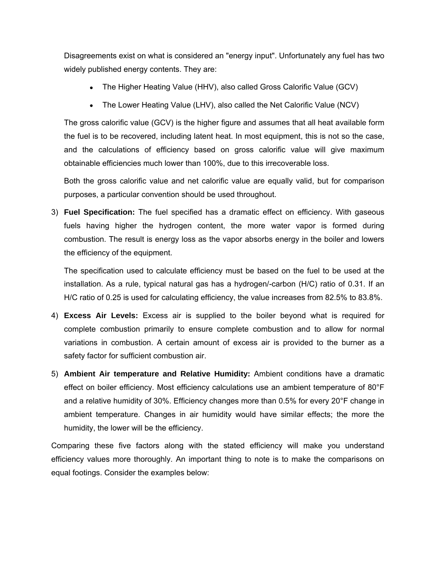Disagreements exist on what is considered an "energy input". Unfortunately any fuel has two widely published energy contents. They are:

- The Higher Heating Value (HHV), also called Gross Calorific Value (GCV)
- The Lower Heating Value (LHV), also called the Net Calorific Value (NCV)

The gross calorific value (GCV) is the higher figure and assumes that all heat available form the fuel is to be recovered, including latent heat. In most equipment, this is not so the case, and the calculations of efficiency based on gross calorific value will give maximum obtainable efficiencies much lower than 100%, due to this irrecoverable loss.

Both the gross calorific value and net calorific value are equally valid, but for comparison purposes, a particular convention should be used throughout.

3) **Fuel Specification:** The fuel specified has a dramatic effect on efficiency. With gaseous fuels having higher the hydrogen content, the more water vapor is formed during combustion. The result is energy loss as the vapor absorbs energy in the boiler and lowers the efficiency of the equipment.

The specification used to calculate efficiency must be based on the fuel to be used at the installation. As a rule, typical natural gas has a hydrogen/-carbon (H/C) ratio of 0.31. If an H/C ratio of 0.25 is used for calculating efficiency, the value increases from 82.5% to 83.8%.

- 4) **Excess Air Levels:** Excess air is supplied to the boiler beyond what is required for complete combustion primarily to ensure complete combustion and to allow for normal variations in combustion. A certain amount of excess air is provided to the burner as a safety factor for sufficient combustion air.
- 5) **Ambient Air temperature and Relative Humidity:** Ambient conditions have a dramatic effect on boiler efficiency. Most efficiency calculations use an ambient temperature of 80°F and a relative humidity of 30%. Efficiency changes more than 0.5% for every 20°F change in ambient temperature. Changes in air humidity would have similar effects; the more the humidity, the lower will be the efficiency.

Comparing these five factors along with the stated efficiency will make you understand efficiency values more thoroughly. An important thing to note is to make the comparisons on equal footings. Consider the examples below: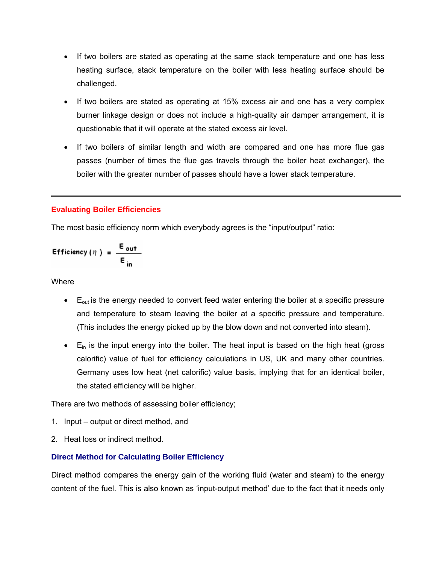- If two boilers are stated as operating at the same stack temperature and one has less heating surface, stack temperature on the boiler with less heating surface should be challenged.
- If two boilers are stated as operating at 15% excess air and one has a very complex burner linkage design or does not include a high-quality air damper arrangement, it is questionable that it will operate at the stated excess air level.
- If two boilers of similar length and width are compared and one has more flue gas passes (number of times the flue gas travels through the boiler heat exchanger), the boiler with the greater number of passes should have a lower stack temperature.

# **Evaluating Boiler Efficiencies**

The most basic efficiency norm which everybody agrees is the "input/output" ratio:

Efficiency (
$$
\eta
$$
) =  $\frac{E_{out}}{E_{in}}$ 

Where

- $\bullet$   $E_{\text{out}}$  is the energy needed to convert feed water entering the boiler at a specific pressure and temperature to steam leaving the boiler at a specific pressure and temperature. (This includes the energy picked up by the blow down and not converted into steam).
- $\bullet$   $E_{\text{in}}$  is the input energy into the boiler. The heat input is based on the high heat (gross calorific) value of fuel for efficiency calculations in US, UK and many other countries. Germany uses low heat (net calorific) value basis, implying that for an identical boiler, the stated efficiency will be higher.

There are two methods of assessing boiler efficiency;

- 1. Input output or direct method, and
- 2. Heat loss or indirect method.

# **Direct Method for Calculating Boiler Efficiency**

Direct method compares the energy gain of the working fluid (water and steam) to the energy content of the fuel. This is also known as 'input-output method' due to the fact that it needs only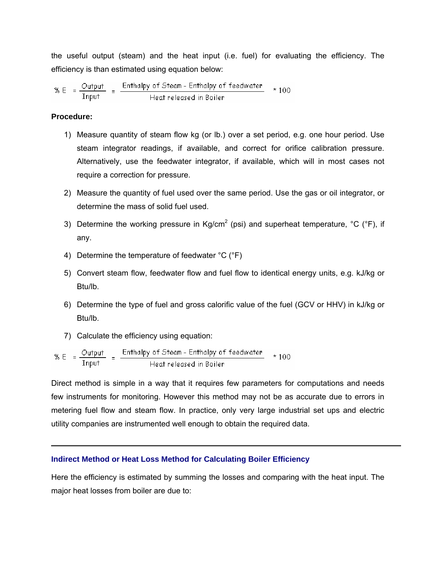the useful output (steam) and the heat input (i.e. fuel) for evaluating the efficiency. The efficiency is than estimated using equation below:

%  $E = \frac{Output}{Input} = \frac{Enthalpy \text{ of Steam - Enthalpy of feedwater}}{Heat released in Boiler}$  $*100$ Heat released in Boiler

# **Procedure:**

- 1) Measure quantity of steam flow kg (or lb.) over a set period, e.g. one hour period. Use steam integrator readings, if available, and correct for orifice calibration pressure. Alternatively, use the feedwater integrator, if available, which will in most cases not require a correction for pressure.
- 2) Measure the quantity of fuel used over the same period. Use the gas or oil integrator, or determine the mass of solid fuel used.
- 3) Determine the working pressure in Kg/cm<sup>2</sup> (psi) and superheat temperature, °C (°F), if any.
- 4) Determine the temperature of feedwater °C (°F)
- 5) Convert steam flow, feedwater flow and fuel flow to identical energy units, e.g. kJ/kg or Btu/lb.
- 6) Determine the type of fuel and gross calorific value of the fuel (GCV or HHV) in kJ/kg or Btu/lb.
- 7) Calculate the efficiency using equation:

$$
E = \frac{Output}{Input} = \frac{Enthalpy \text{ of Steam - Enthalpy of feedback}}{Heat released in Boiler} \times 100
$$

Direct method is simple in a way that it requires few parameters for computations and needs few instruments for monitoring. However this method may not be as accurate due to errors in metering fuel flow and steam flow. In practice, only very large industrial set ups and electric utility companies are instrumented well enough to obtain the required data.

#### **Indirect Method or Heat Loss Method for Calculating Boiler Efficiency**

Here the efficiency is estimated by summing the losses and comparing with the heat input. The major heat losses from boiler are due to: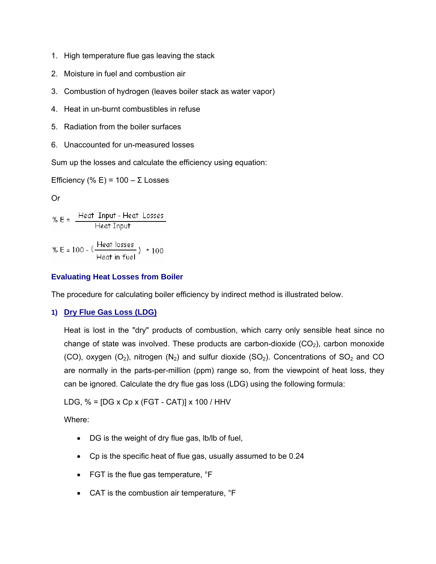- 1. High temperature flue gas leaving the stack
- 2. Moisture in fuel and combustion air
- 3. Combustion of hydrogen (leaves boiler stack as water vapor)
- 4. Heat in un-burnt combustibles in refuse
- 5. Radiation from the boiler surfaces
- 6. Unaccounted for un-measured losses

Sum up the losses and calculate the efficiency using equation:

Efficiency (% E) = 100 – Σ Losses

Or

$$
\% E = \frac{\text{Heat Input - Heat Losses}}{\text{Heat Input}}
$$

% E = 100 -  $\left(\frac{\text{Heat losses}}{\text{Heat in fuel}}\right)$  \* 100

# **Evaluating Heat Losses from Boiler**

The procedure for calculating boiler efficiency by indirect method is illustrated below.

# **1) Dry Flue Gas Loss (LDG)**

Heat is lost in the "dry" products of combustion, which carry only sensible heat since no change of state was involved. These products are carbon-dioxide  $(CO<sub>2</sub>)$ , carbon monoxide (CO), oxygen (O<sub>2</sub>), nitrogen (N<sub>2</sub>) and sulfur dioxide (SO<sub>2</sub>). Concentrations of SO<sub>2</sub> and CO are normally in the parts-per-million (ppm) range so, from the viewpoint of heat loss, they can be ignored. Calculate the dry flue gas loss (LDG) using the following formula:

LDG, % = [DG x Cp x (FGT - CAT)] x 100 / HHV

Where:

- DG is the weight of dry flue gas, lb/lb of fuel,
- Cp is the specific heat of flue gas, usually assumed to be 0.24
- FGT is the flue gas temperature,  $\degree$ F
- CAT is the combustion air temperature,  ${}^{\circ}$ F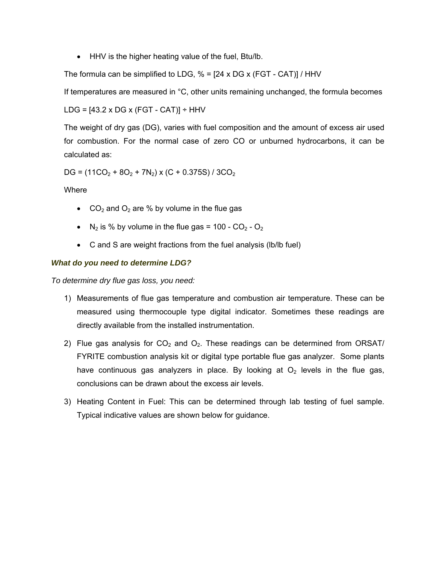• HHV is the higher heating value of the fuel, Btu/lb.

The formula can be simplified to LDG,  $%$  = [24 x DG x (FGT - CAT)] / HHV

If temperatures are measured in  $^{\circ}$ C, other units remaining unchanged, the formula becomes

 $LDG = [43.2 \times DG \times (FGT - CAT)] \div HHV$ 

The weight of dry gas (DG), varies with fuel composition and the amount of excess air used for combustion. For the normal case of zero CO or unburned hydrocarbons, it can be calculated as:

 $DG = (11CO<sub>2</sub> + 8O<sub>2</sub> + 7N<sub>2</sub>) \times (C + 0.375S) / 3CO<sub>2</sub>$ 

**Where** 

- $CO<sub>2</sub>$  and  $O<sub>2</sub>$  are % by volume in the flue gas
- $N_2$  is % by volume in the flue gas = 100 CO<sub>2</sub> O<sub>2</sub>
- C and S are weight fractions from the fuel analysis (lb/lb fuel)

# *What do you need to determine LDG?*

*To determine dry flue gas loss, you need:* 

- 1) Measurements of flue gas temperature and combustion air temperature. These can be measured using thermocouple type digital indicator. Sometimes these readings are directly available from the installed instrumentation.
- 2) Flue gas analysis for  $CO<sub>2</sub>$  and  $O<sub>2</sub>$ . These readings can be determined from ORSAT/ FYRITE combustion analysis kit or digital type portable flue gas analyzer. Some plants have continuous gas analyzers in place. By looking at  $O<sub>2</sub>$  levels in the flue gas, conclusions can be drawn about the excess air levels.
- 3) Heating Content in Fuel: This can be determined through lab testing of fuel sample. Typical indicative values are shown below for guidance.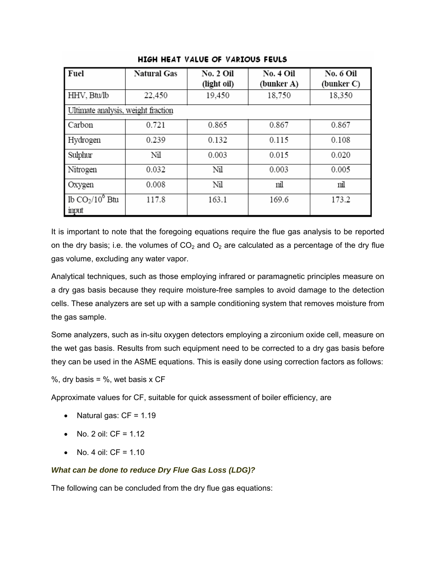| Fuel                               | <b>Natural Gas</b> | No. 2 Oil<br>(light oil) | No. 4 Oil<br>(bunker A) | No. 6 Oil<br>(bunker C) |
|------------------------------------|--------------------|--------------------------|-------------------------|-------------------------|
| HHV, Btu/lb                        | 22,450             | 19,450                   | 18,750                  | 18,350                  |
| Ultimate analysis, weight fraction |                    |                          |                         |                         |
| Carbon                             | 0.721              | 0.865                    | 0.867                   | 0.867                   |
| Hydrogen                           | 0.239              | 0.132                    | 0.115                   | 0.108                   |
| Sulphur                            | Nil                | 0.003                    | 0.015                   | 0.020                   |
| Nitrogen                           | 0.032              | Nil                      | 0.003                   | 0.005                   |
| Oxygen                             | 0.008              | Nil                      | nil                     | nil                     |
| lb $CO2/106$ Btu<br>input          | 117.8              | 163.1                    | 169.6                   | 173.2                   |

# HIGH HEAT VALUE OF VARIOUS FEULS

It is important to note that the foregoing equations require the flue gas analysis to be reported on the dry basis; i.e. the volumes of  $CO<sub>2</sub>$  and  $O<sub>2</sub>$  are calculated as a percentage of the dry flue gas volume, excluding any water vapor.

Analytical techniques, such as those employing infrared or paramagnetic principles measure on a dry gas basis because they require moisture-free samples to avoid damage to the detection cells. These analyzers are set up with a sample conditioning system that removes moisture from the gas sample.

Some analyzers, such as in-situ oxygen detectors employing a zirconium oxide cell, measure on the wet gas basis. Results from such equipment need to be corrected to a dry gas basis before they can be used in the ASME equations. This is easily done using correction factors as follows:

%, dry basis = %, wet basis  $x$  CF

Approximate values for CF, suitable for quick assessment of boiler efficiency, are

- Natural gas:  $CF = 1.19$
- No. 2 oil:  $CF = 1.12$
- No. 4 oil:  $CF = 1.10$

# *What can be done to reduce Dry Flue Gas Loss (LDG)?*

The following can be concluded from the dry flue gas equations: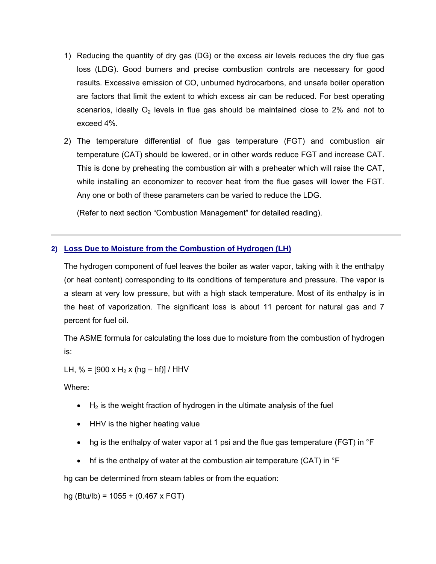- 1) Reducing the quantity of dry gas (DG) or the excess air levels reduces the dry flue gas loss (LDG). Good burners and precise combustion controls are necessary for good results. Excessive emission of CO, unburned hydrocarbons, and unsafe boiler operation are factors that limit the extent to which excess air can be reduced. For best operating scenarios, ideally  $O_2$  levels in flue gas should be maintained close to 2% and not to exceed 4%.
- 2) The temperature differential of flue gas temperature (FGT) and combustion air temperature (CAT) should be lowered, or in other words reduce FGT and increase CAT. This is done by preheating the combustion air with a preheater which will raise the CAT, while installing an economizer to recover heat from the flue gases will lower the FGT. Any one or both of these parameters can be varied to reduce the LDG.

(Refer to next section "Combustion Management" for detailed reading).

# **2) Loss Due to Moisture from the Combustion of Hydrogen (LH)**

The hydrogen component of fuel leaves the boiler as water vapor, taking with it the enthalpy (or heat content) corresponding to its conditions of temperature and pressure. The vapor is a steam at very low pressure, but with a high stack temperature. Most of its enthalpy is in the heat of vaporization. The significant loss is about 11 percent for natural gas and 7 percent for fuel oil.

The ASME formula for calculating the loss due to moisture from the combustion of hydrogen is:

LH, % =  $[900 \times H_2 \times (hg - hf)] / HHV$ 

Where:

- $\bullet$  H<sub>2</sub> is the weight fraction of hydrogen in the ultimate analysis of the fuel
- HHV is the higher heating value
- hg is the enthalpy of water vapor at 1 psi and the flue gas temperature (FGT) in  $\degree$ F
- hf is the enthalpy of water at the combustion air temperature (CAT) in  $\degree$ F

hg can be determined from steam tables or from the equation:

hg (Btu/lb) = 1055 + (0.467 x FGT)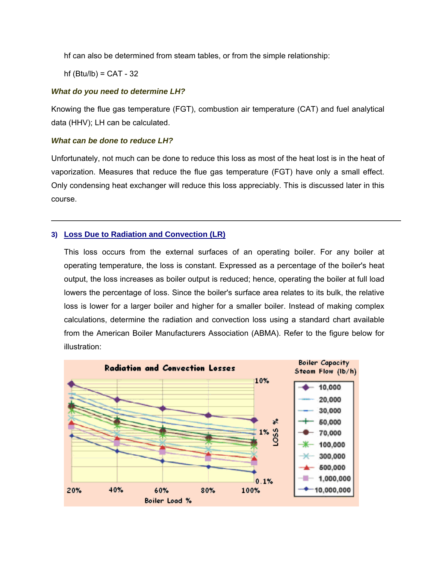hf can also be determined from steam tables, or from the simple relationship:

hf  $(Btu/lb) = CAT - 32$ 

# *What do you need to determine LH?*

Knowing the flue gas temperature (FGT), combustion air temperature (CAT) and fuel analytical data (HHV); LH can be calculated.

# *What can be done to reduce LH?*

Unfortunately, not much can be done to reduce this loss as most of the heat lost is in the heat of vaporization. Measures that reduce the flue gas temperature (FGT) have only a small effect. Only condensing heat exchanger will reduce this loss appreciably. This is discussed later in this course.

# **3) Loss Due to Radiation and Convection (LR)**

This loss occurs from the external surfaces of an operating boiler. For any boiler at operating temperature, the loss is constant. Expressed as a percentage of the boiler's heat output, the loss increases as boiler output is reduced; hence, operating the boiler at full load lowers the percentage of loss. Since the boiler's surface area relates to its bulk, the relative loss is lower for a larger boiler and higher for a smaller boiler. Instead of making complex calculations, determine the radiation and convection loss using a standard chart available from the American Boiler Manufacturers Association (ABMA). Refer to the figure below for illustration:

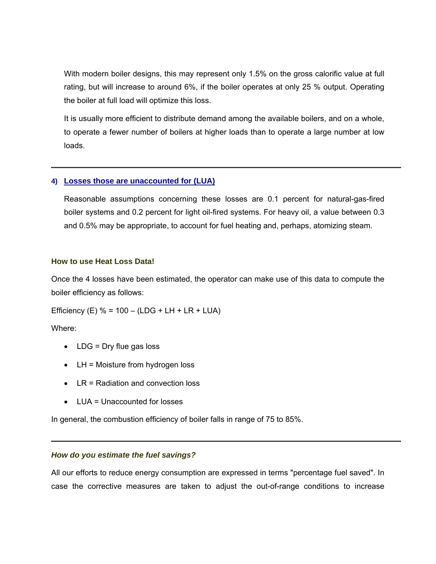With modern boiler designs, this may represent only 1.5% on the gross calorific value at full rating, but will increase to around 6%, if the boiler operates at only 25 % output. Operating the boiler at full load will optimize this loss.

It is usually more efficient to distribute demand among the available boilers, and on a whole, to operate a fewer number of boilers at higher loads than to operate a large number at low loads.

# **4) Losses those are unaccounted for (LUA)**

Reasonable assumptions concerning these losses are 0.1 percent for natural-gas-fired boiler systems and 0.2 percent for light oil-fired systems. For heavy oil, a value between 0.3 and 0.5% may be appropriate, to account for fuel heating and, perhaps, atomizing steam.

# **How to use Heat Loss Data!**

Once the 4 losses have been estimated, the operator can make use of this data to compute the boiler efficiency as follows:

Efficiency (E)  $% = 100 - (LDG + LH + LR + LUA)$ 

# Where:

- LDG = Dry flue gas loss
- LH = Moisture from hydrogen loss
- LR = Radiation and convection loss
- LUA = Unaccounted for losses

In general, the combustion efficiency of boiler falls in range of 75 to 85%.

# *How do you estimate the fuel savings?*

All our efforts to reduce energy consumption are expressed in terms "percentage fuel saved". In case the corrective measures are taken to adjust the out-of-range conditions to increase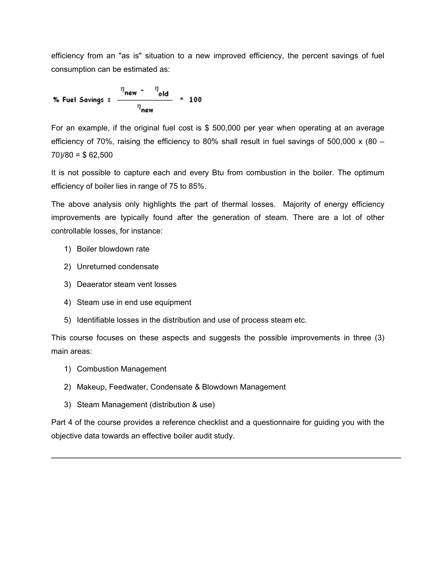efficiency from an "as is" situation to a new improved efficiency, the percent savings of fuel consumption can be estimated as:

% Fuel Savings = 
$$
\frac{\eta_{\text{new}} - \eta_{\text{old}}}{\eta_{\text{new}}} \times 100
$$

For an example, if the original fuel cost is \$ 500,000 per year when operating at an average efficiency of 70%, raising the efficiency to 80% shall result in fuel savings of 500,000  $\times$  (80 –  $70/80 = $62,500$ 

It is not possible to capture each and every Btu from combustion in the boiler. The optimum efficiency of boiler lies in range of 75 to 85%.

The above analysis only highlights the part of thermal losses. Majority of energy efficiency improvements are typically found after the generation of steam. There are a lot of other controllable losses, for instance:

- 1) Boiler blowdown rate
- 2) Unreturned condensate
- 3) Deaerator steam vent losses
- 4) Steam use in end use equipment
- 5) Identifiable losses in the distribution and use of process steam etc.

This course focuses on these aspects and suggests the possible improvements in three (3) main areas:

- 1) Combustion Management
- 2) Makeup, Feedwater, Condensate & Blowdown Management
- 3) Steam Management (distribution & use)

Part 4 of the course provides a reference checklist and a questionnaire for guiding you with the objective data towards an effective boiler audit study.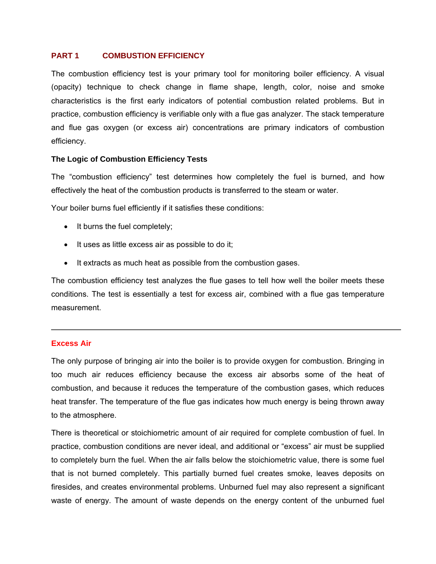# **PART 1 COMBUSTION EFFICIENCY**

The combustion efficiency test is your primary tool for monitoring boiler efficiency. A visual (opacity) technique to check change in flame shape, length, color, noise and smoke characteristics is the first early indicators of potential combustion related problems. But in practice, combustion efficiency is verifiable only with a flue gas analyzer. The stack temperature and flue gas oxygen (or excess air) concentrations are primary indicators of combustion efficiency.

# **The Logic of Combustion Efficiency Tests**

The "combustion efficiency" test determines how completely the fuel is burned, and how effectively the heat of the combustion products is transferred to the steam or water.

Your boiler burns fuel efficiently if it satisfies these conditions:

- It burns the fuel completely;
- It uses as little excess air as possible to do it;
- It extracts as much heat as possible from the combustion gases.

The combustion efficiency test analyzes the flue gases to tell how well the boiler meets these conditions. The test is essentially a test for excess air, combined with a flue gas temperature measurement.

#### **Excess Air**

The only purpose of bringing air into the boiler is to provide oxygen for combustion. Bringing in too much air reduces efficiency because the excess air absorbs some of the heat of combustion, and because it reduces the temperature of the combustion gases, which reduces heat transfer. The temperature of the flue gas indicates how much energy is being thrown away to the atmosphere.

There is theoretical or stoichiometric amount of air required for complete combustion of fuel. In practice, combustion conditions are never ideal, and additional or "excess" air must be supplied to completely burn the fuel. When the air falls below the stoichiometric value, there is some fuel that is not burned completely. This partially burned fuel creates smoke, leaves deposits on firesides, and creates environmental problems. Unburned fuel may also represent a significant waste of energy. The amount of waste depends on the energy content of the unburned fuel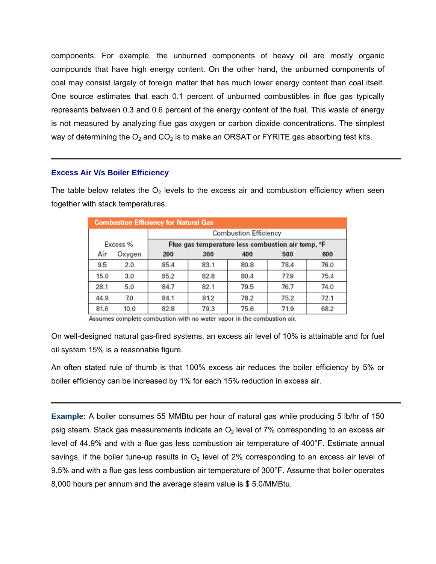components. For example, the unburned components of heavy oil are mostly organic compounds that have high energy content. On the other hand, the unburned components of coal may consist largely of foreign matter that has much lower energy content than coal itself. One source estimates that each 0.1 percent of unburned combustibles in flue gas typically represents between 0.3 and 0.6 percent of the energy content of the fuel. This waste of energy is not measured by analyzing flue gas oxygen or carbon dioxide concentrations. The simplest way of determining the  $O_2$  and  $CO_2$  is to make an ORSAT or FYRITE gas absorbing test kits.

# **Excess Air V/s Boiler Efficiency**

The table below relates the  $O_2$  levels to the excess air and combustion efficiency when seen together with stack temperatures.

| <b>Combustion Efficiency for Natural Gas</b> |          |      |                              |      |                                                   |      |  |  |
|----------------------------------------------|----------|------|------------------------------|------|---------------------------------------------------|------|--|--|
|                                              |          |      | <b>Combustion Efficiency</b> |      |                                                   |      |  |  |
|                                              | Excess % |      |                              |      | Flue gas temperature less combustion air temp, °F |      |  |  |
| Air                                          | Oxygen   | 200  | 300                          | 400  | 500                                               | 600  |  |  |
| 9.5                                          | 2.0      | 85.4 | 83.1                         | 80.8 | 78.4                                              | 76.0 |  |  |
| 15.0                                         | 3.0      | 85.2 | 82.8                         | 80.4 | 77.9                                              | 75.4 |  |  |
| 28.1                                         | 5.0      | 84.7 | 82.1                         | 79.5 | 76.7                                              | 74.0 |  |  |
| 44.9                                         | 7.0      | 84.1 | 81.2                         | 78.2 | 75.2                                              | 72.1 |  |  |
| 81.6                                         | 10.0     | 82.8 | 79.3                         | 75.6 | 71.9                                              | 68.2 |  |  |

Assumes complete combustion with no water vapor in the combustion air.

On well-designed natural gas-fired systems, an excess air level of 10% is attainable and for fuel oil system 15% is a reasonable figure.

An often stated rule of thumb is that 100% excess air reduces the boiler efficiency by 5% or boiler efficiency can be increased by 1% for each 15% reduction in excess air.

**Example:** A boiler consumes 55 MMBtu per hour of natural gas while producing 5 lb/hr of 150 psig steam. Stack gas measurements indicate an  $O<sub>2</sub>$  level of 7% corresponding to an excess air level of 44.9% and with a flue gas less combustion air temperature of 400°F. Estimate annual savings, if the boiler tune-up results in  $O<sub>2</sub>$  level of 2% corresponding to an excess air level of 9.5% and with a flue gas less combustion air temperature of 300°F. Assume that boiler operates 8,000 hours per annum and the average steam value is \$ 5.0/MMBtu.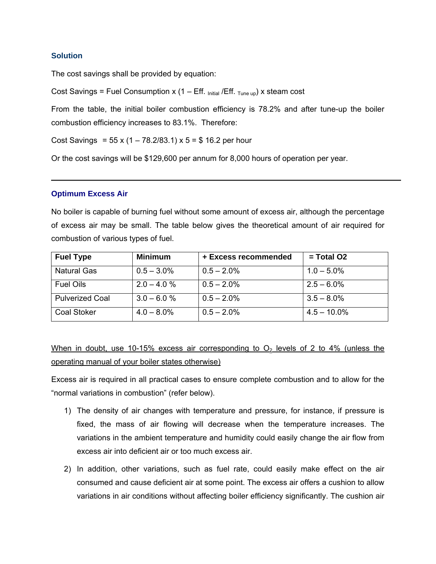# **Solution**

The cost savings shall be provided by equation:

Cost Savings = Fuel Consumption x (1 – Eff.  $_{Initial}$  /Eff.  $_{Tune\,uo}$ ) x steam cost

From the table, the initial boiler combustion efficiency is 78.2% and after tune-up the boiler combustion efficiency increases to 83.1%. Therefore:

Cost Savings =  $55 \times (1 - 78.2/83.1) \times 5 = $16.2$  per hour

Or the cost savings will be \$129,600 per annum for 8,000 hours of operation per year.

# **Optimum Excess Air**

No boiler is capable of burning fuel without some amount of excess air, although the percentage of excess air may be small. The table below gives the theoretical amount of air required for combustion of various types of fuel.

| <b>Fuel Type</b>       | <b>Minimum</b> | + Excess recommended | $=$ Total O2   |
|------------------------|----------------|----------------------|----------------|
| <b>Natural Gas</b>     | $0.5 - 3.0\%$  | $0.5 - 2.0\%$        | $1.0 - 5.0\%$  |
| <b>Fuel Oils</b>       | $2.0 - 4.0 %$  | $0.5 - 2.0\%$        | $2.5 - 6.0\%$  |
| <b>Pulverized Coal</b> | $3.0 - 6.0 %$  | $0.5 - 2.0\%$        | $3.5 - 8.0\%$  |
| <b>Coal Stoker</b>     | $4.0 - 8.0\%$  | $0.5 - 2.0\%$        | $4.5 - 10.0\%$ |

When in doubt, use 10-15% excess air corresponding to  $O<sub>2</sub>$  levels of 2 to 4% (unless the operating manual of your boiler states otherwise)

Excess air is required in all practical cases to ensure complete combustion and to allow for the "normal variations in combustion" (refer below).

- 1) The density of air changes with temperature and pressure, for instance, if pressure is fixed, the mass of air flowing will decrease when the temperature increases. The variations in the ambient temperature and humidity could easily change the air flow from excess air into deficient air or too much excess air.
- 2) In addition, other variations, such as fuel rate, could easily make effect on the air consumed and cause deficient air at some point. The excess air offers a cushion to allow variations in air conditions without affecting boiler efficiency significantly. The cushion air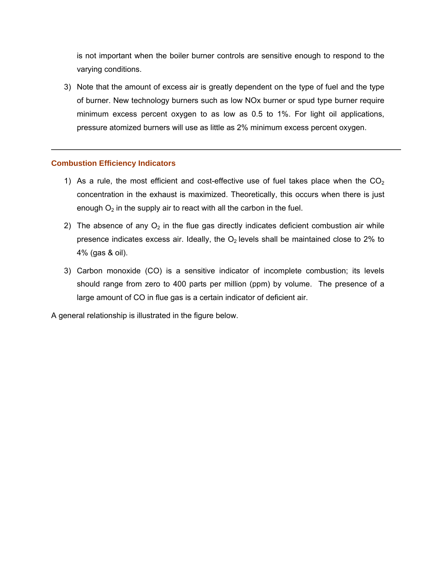is not important when the boiler burner controls are sensitive enough to respond to the varying conditions.

3) Note that the amount of excess air is greatly dependent on the type of fuel and the type of burner. New technology burners such as low NOx burner or spud type burner require minimum excess percent oxygen to as low as 0.5 to 1%. For light oil applications, pressure atomized burners will use as little as 2% minimum excess percent oxygen.

# **Combustion Efficiency Indicators**

- 1) As a rule, the most efficient and cost-effective use of fuel takes place when the  $CO<sub>2</sub>$ concentration in the exhaust is maximized. Theoretically, this occurs when there is just enough  $O<sub>2</sub>$  in the supply air to react with all the carbon in the fuel.
- 2) The absence of any  $O_2$  in the flue gas directly indicates deficient combustion air while presence indicates excess air. Ideally, the  $O<sub>2</sub>$  levels shall be maintained close to 2% to 4% (gas & oil).
- 3) Carbon monoxide (CO) is a sensitive indicator of incomplete combustion; its levels should range from zero to 400 parts per million (ppm) by volume. The presence of a large amount of CO in flue gas is a certain indicator of deficient air.

A general relationship is illustrated in the figure below.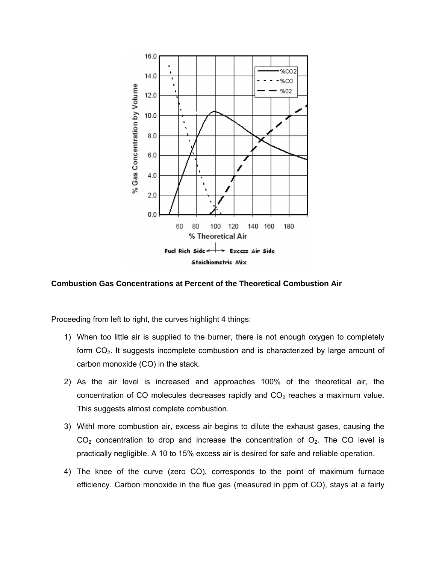

#### **Combustion Gas Concentrations at Percent of the Theoretical Combustion Air**

Proceeding from left to right, the curves highlight 4 things:

- 1) When too little air is supplied to the burner, there is not enough oxygen to completely form  $CO<sub>2</sub>$ . It suggests incomplete combustion and is characterized by large amount of carbon monoxide (CO) in the stack.
- 2) As the air level is increased and approaches 100% of the theoretical air, the concentration of CO molecules decreases rapidly and  $CO<sub>2</sub>$  reaches a maximum value. This suggests almost complete combustion.
- 3) Withl more combustion air, excess air begins to dilute the exhaust gases, causing the  $CO<sub>2</sub>$  concentration to drop and increase the concentration of  $O<sub>2</sub>$ . The CO level is practically negligible. A 10 to 15% excess air is desired for safe and reliable operation.
- 4) The knee of the curve (zero CO), corresponds to the point of maximum furnace efficiency. Carbon monoxide in the flue gas (measured in ppm of CO), stays at a fairly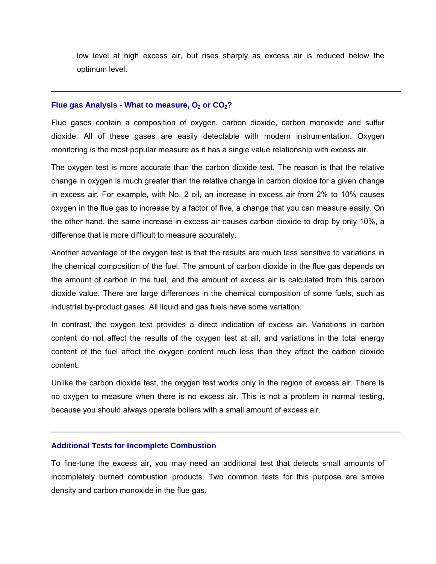low level at high excess air, but rises sharply as excess air is reduced below the optimum level.

#### Flue gas Analysis - What to measure, O<sub>2</sub> or CO<sub>2</sub>?

Flue gases contain a composition of oxygen, carbon dioxide, carbon monoxide and sulfur dioxide. All of these gases are easily detectable with modern instrumentation. Oxygen monitoring is the most popular measure as it has a single value relationship with excess air.

The oxygen test is more accurate than the carbon dioxide test. The reason is that the relative change in oxygen is much greater than the relative change in carbon dioxide for a given change in excess air. For example, with No. 2 oil, an increase in excess air from 2% to 10% causes oxygen in the flue gas to increase by a factor of five, a change that you can measure easily. On the other hand, the same increase in excess air causes carbon dioxide to drop by only 10%, a difference that is more difficult to measure accurately.

Another advantage of the oxygen test is that the results are much less sensitive to variations in the chemical composition of the fuel. The amount of carbon dioxide in the flue gas depends on the amount of carbon in the fuel, and the amount of excess air is calculated from this carbon dioxide value. There are large differences in the chemical composition of some fuels, such as industrial by-product gases. All liquid and gas fuels have some variation.

In contrast, the oxygen test provides a direct indication of excess air. Variations in carbon content do not affect the results of the oxygen test at all, and variations in the total energy content of the fuel affect the oxygen content much less than they affect the carbon dioxide content.

Unlike the carbon dioxide test, the oxygen test works only in the region of excess air. There is no oxygen to measure when there is no excess air. This is not a problem in normal testing, because you should always operate boilers with a small amount of excess air.

# **Additional Tests for Incomplete Combustion**

To fine-tune the excess air, you may need an additional test that detects small amounts of incompletely burned combustion products. Two common tests for this purpose are smoke density and carbon monoxide in the flue gas.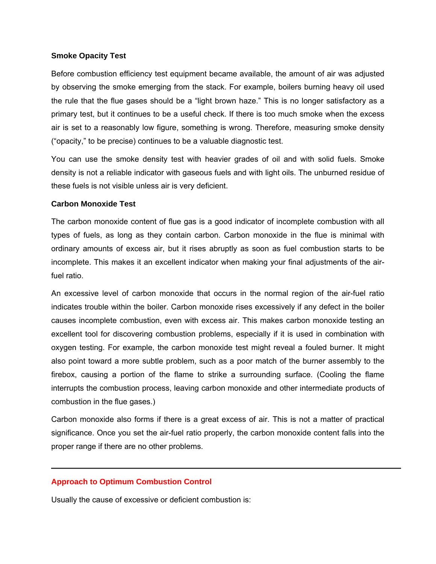#### **Smoke Opacity Test**

Before combustion efficiency test equipment became available, the amount of air was adjusted by observing the smoke emerging from the stack. For example, boilers burning heavy oil used the rule that the flue gases should be a "light brown haze." This is no longer satisfactory as a primary test, but it continues to be a useful check. If there is too much smoke when the excess air is set to a reasonably low figure, something is wrong. Therefore, measuring smoke density ("opacity," to be precise) continues to be a valuable diagnostic test.

You can use the smoke density test with heavier grades of oil and with solid fuels. Smoke density is not a reliable indicator with gaseous fuels and with light oils. The unburned residue of these fuels is not visible unless air is very deficient.

# **Carbon Monoxide Test**

The carbon monoxide content of flue gas is a good indicator of incomplete combustion with all types of fuels, as long as they contain carbon. Carbon monoxide in the flue is minimal with ordinary amounts of excess air, but it rises abruptly as soon as fuel combustion starts to be incomplete. This makes it an excellent indicator when making your final adjustments of the airfuel ratio.

An excessive level of carbon monoxide that occurs in the normal region of the air-fuel ratio indicates trouble within the boiler. Carbon monoxide rises excessively if any defect in the boiler causes incomplete combustion, even with excess air. This makes carbon monoxide testing an excellent tool for discovering combustion problems, especially if it is used in combination with oxygen testing. For example, the carbon monoxide test might reveal a fouled burner. It might also point toward a more subtle problem, such as a poor match of the burner assembly to the firebox, causing a portion of the flame to strike a surrounding surface. (Cooling the flame interrupts the combustion process, leaving carbon monoxide and other intermediate products of combustion in the flue gases.)

Carbon monoxide also forms if there is a great excess of air. This is not a matter of practical significance. Once you set the air-fuel ratio properly, the carbon monoxide content falls into the proper range if there are no other problems.

# **Approach to Optimum Combustion Control**

Usually the cause of excessive or deficient combustion is: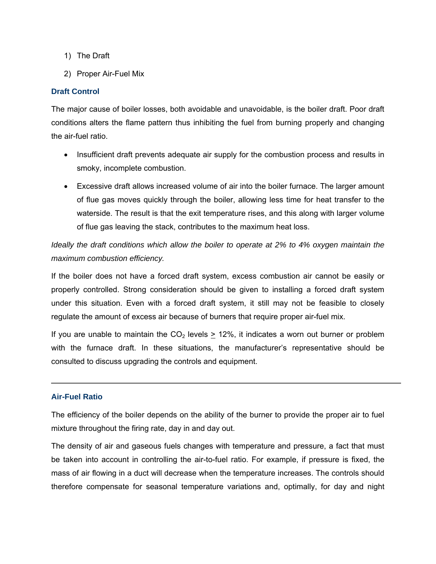- 1) The Draft
- 2) Proper Air-Fuel Mix

# **Draft Control**

The major cause of boiler losses, both avoidable and unavoidable, is the boiler draft. Poor draft conditions alters the flame pattern thus inhibiting the fuel from burning properly and changing the air-fuel ratio.

- Insufficient draft prevents adequate air supply for the combustion process and results in smoky, incomplete combustion.
- Excessive draft allows increased volume of air into the boiler furnace. The larger amount of flue gas moves quickly through the boiler, allowing less time for heat transfer to the waterside. The result is that the exit temperature rises, and this along with larger volume of flue gas leaving the stack, contributes to the maximum heat loss.

*Ideally the draft conditions which allow the boiler to operate at 2% to 4% oxygen maintain the maximum combustion efficiency.* 

If the boiler does not have a forced draft system, excess combustion air cannot be easily or properly controlled. Strong consideration should be given to installing a forced draft system under this situation. Even with a forced draft system, it still may not be feasible to closely regulate the amount of excess air because of burners that require proper air-fuel mix.

If you are unable to maintain the  $CO<sub>2</sub>$  levels  $\geq$  12%, it indicates a worn out burner or problem with the furnace draft. In these situations, the manufacturer's representative should be consulted to discuss upgrading the controls and equipment.

# **Air-Fuel Ratio**

The efficiency of the boiler depends on the ability of the burner to provide the proper air to fuel mixture throughout the firing rate, day in and day out.

The density of air and gaseous fuels changes with temperature and pressure, a fact that must be taken into account in controlling the air-to-fuel ratio. For example, if pressure is fixed, the mass of air flowing in a duct will decrease when the temperature increases. The controls should therefore compensate for seasonal temperature variations and, optimally, for day and night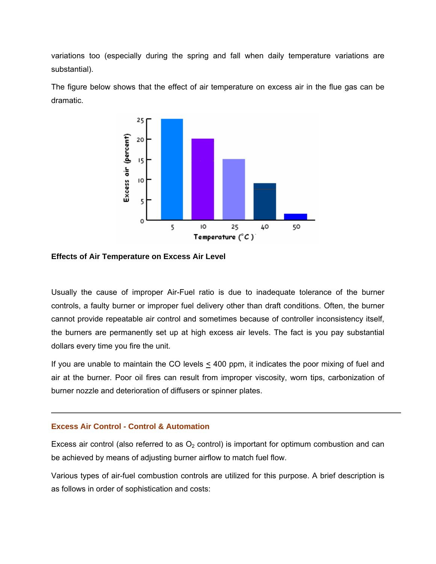variations too (especially during the spring and fall when daily temperature variations are substantial).

The figure below shows that the effect of air temperature on excess air in the flue gas can be dramatic.



**Effects of Air Temperature on Excess Air Level**

Usually the cause of improper Air-Fuel ratio is due to inadequate tolerance of the burner controls, a faulty burner or improper fuel delivery other than draft conditions. Often, the burner cannot provide repeatable air control and sometimes because of controller inconsistency itself, the burners are permanently set up at high excess air levels. The fact is you pay substantial dollars every time you fire the unit.

If you are unable to maintain the CO levels  $\leq$  400 ppm, it indicates the poor mixing of fuel and air at the burner. Poor oil fires can result from improper viscosity, worn tips, carbonization of burner nozzle and deterioration of diffusers or spinner plates.

# **Excess Air Control - Control & Automation**

Excess air control (also referred to as  $O<sub>2</sub>$  control) is important for optimum combustion and can be achieved by means of adjusting burner airflow to match fuel flow.

Various types of air-fuel combustion controls are utilized for this purpose. A brief description is as follows in order of sophistication and costs: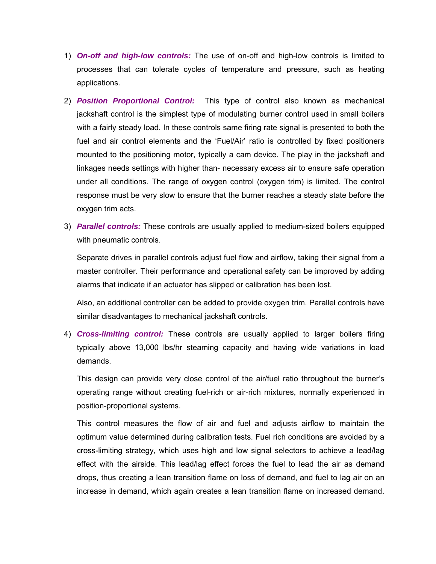- 1) *On-off and high-low controls:* The use of on-off and high-low controls is limited to processes that can tolerate cycles of temperature and pressure, such as heating applications.
- 2) *Position Proportional Control:* This type of control also known as mechanical jackshaft control is the simplest type of modulating burner control used in small boilers with a fairly steady load. In these controls same firing rate signal is presented to both the fuel and air control elements and the 'Fuel/Air' ratio is controlled by fixed positioners mounted to the positioning motor, typically a cam device. The play in the jackshaft and linkages needs settings with higher than- necessary excess air to ensure safe operation under all conditions. The range of oxygen control (oxygen trim) is limited. The control response must be very slow to ensure that the burner reaches a steady state before the oxygen trim acts.
- 3) *Parallel controls:* These controls are usually applied to medium-sized boilers equipped with pneumatic controls.

Separate drives in parallel controls adjust fuel flow and airflow, taking their signal from a master controller. Their performance and operational safety can be improved by adding alarms that indicate if an actuator has slipped or calibration has been lost.

Also, an additional controller can be added to provide oxygen trim. Parallel controls have similar disadvantages to mechanical jackshaft controls.

4) *Cross-limiting control:* These controls are usually applied to larger boilers firing typically above 13,000 lbs/hr steaming capacity and having wide variations in load demands.

This design can provide very close control of the air/fuel ratio throughout the burner's operating range without creating fuel-rich or air-rich mixtures, normally experienced in position-proportional systems.

This control measures the flow of air and fuel and adjusts airflow to maintain the optimum value determined during calibration tests. Fuel rich conditions are avoided by a cross-limiting strategy, which uses high and low signal selectors to achieve a lead/lag effect with the airside. This lead/lag effect forces the fuel to lead the air as demand drops, thus creating a lean transition flame on loss of demand, and fuel to lag air on an increase in demand, which again creates a lean transition flame on increased demand.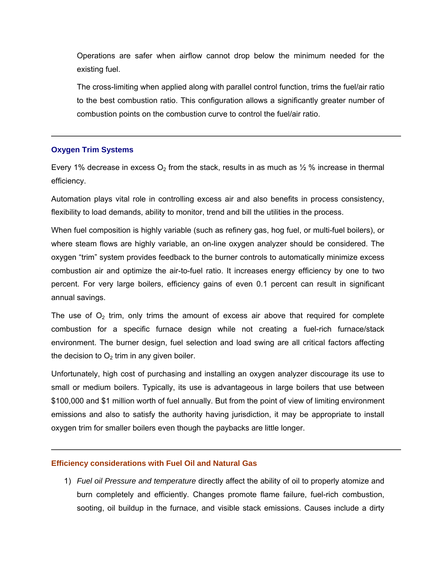Operations are safer when airflow cannot drop below the minimum needed for the existing fuel.

The cross-limiting when applied along with parallel control function, trims the fuel/air ratio to the best combustion ratio. This configuration allows a significantly greater number of combustion points on the combustion curve to control the fuel/air ratio.

# **Oxygen Trim Systems**

Every 1% decrease in excess  $O_2$  from the stack, results in as much as  $\frac{1}{2}$  % increase in thermal efficiency.

Automation plays vital role in controlling excess air and also benefits in process consistency, flexibility to load demands, ability to monitor, trend and bill the utilities in the process.

When fuel composition is highly variable (such as refinery gas, hog fuel, or multi-fuel boilers), or where steam flows are highly variable, an on-line oxygen analyzer should be considered. The oxygen "trim" system provides feedback to the burner controls to automatically minimize excess combustion air and optimize the air-to-fuel ratio. It increases energy efficiency by one to two percent. For very large boilers, efficiency gains of even 0.1 percent can result in significant annual savings.

The use of  $O<sub>2</sub>$  trim, only trims the amount of excess air above that required for complete combustion for a specific furnace design while not creating a fuel-rich furnace/stack environment. The burner design, fuel selection and load swing are all critical factors affecting the decision to  $O<sub>2</sub>$  trim in any given boiler.

Unfortunately, high cost of purchasing and installing an oxygen analyzer discourage its use to small or medium boilers. Typically, its use is advantageous in large boilers that use between \$100,000 and \$1 million worth of fuel annually. But from the point of view of limiting environment emissions and also to satisfy the authority having jurisdiction, it may be appropriate to install oxygen trim for smaller boilers even though the paybacks are little longer.

# **Efficiency considerations with Fuel Oil and Natural Gas**

1) *Fuel oil Pressure and temperature* directly affect the ability of oil to properly atomize and burn completely and efficiently. Changes promote flame failure, fuel-rich combustion, sooting, oil buildup in the furnace, and visible stack emissions. Causes include a dirty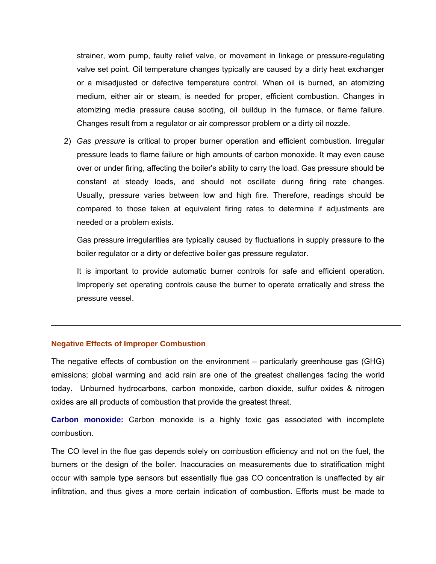strainer, worn pump, faulty relief valve, or movement in linkage or pressure-regulating valve set point. Oil temperature changes typically are caused by a dirty heat exchanger or a misadjusted or defective temperature control. When oil is burned, an atomizing medium, either air or steam, is needed for proper, efficient combustion. Changes in atomizing media pressure cause sooting, oil buildup in the furnace, or flame failure. Changes result from a regulator or air compressor problem or a dirty oil nozzle.

2) *Gas pressure* is critical to proper burner operation and efficient combustion. Irregular pressure leads to flame failure or high amounts of carbon monoxide. It may even cause over or under firing, affecting the boiler's ability to carry the load. Gas pressure should be constant at steady loads, and should not oscillate during firing rate changes. Usually, pressure varies between low and high fire. Therefore, readings should be compared to those taken at equivalent firing rates to determine if adjustments are needed or a problem exists.

Gas pressure irregularities are typically caused by fluctuations in supply pressure to the boiler regulator or a dirty or defective boiler gas pressure regulator.

It is important to provide automatic burner controls for safe and efficient operation. Improperly set operating controls cause the burner to operate erratically and stress the pressure vessel.

#### **Negative Effects of Improper Combustion**

The negative effects of combustion on the environment – particularly greenhouse gas (GHG) emissions; global warming and acid rain are one of the greatest challenges facing the world today. Unburned hydrocarbons, carbon monoxide, carbon dioxide, sulfur oxides & nitrogen oxides are all products of combustion that provide the greatest threat.

**Carbon monoxide:** Carbon monoxide is a highly toxic gas associated with incomplete combustion.

The CO level in the flue gas depends solely on combustion efficiency and not on the fuel, the burners or the design of the boiler. Inaccuracies on measurements due to stratification might occur with sample type sensors but essentially flue gas CO concentration is unaffected by air infiltration, and thus gives a more certain indication of combustion. Efforts must be made to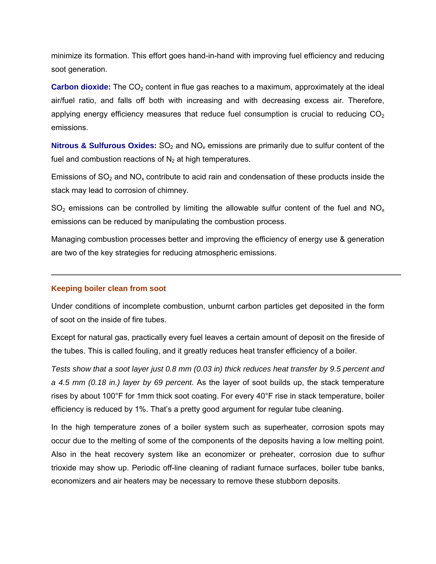minimize its formation. This effort goes hand-in-hand with improving fuel efficiency and reducing soot generation.

**Carbon dioxide:** The CO<sub>2</sub> content in flue gas reaches to a maximum, approximately at the ideal air/fuel ratio, and falls off both with increasing and with decreasing excess air. Therefore, applying energy efficiency measures that reduce fuel consumption is crucial to reducing  $CO<sub>2</sub>$ emissions.

**Nitrous & Sulfurous Oxides:** SO<sub>2</sub> and NO<sub>x</sub> emissions are primarily due to sulfur content of the fuel and combustion reactions of  $N_2$  at high temperatures.

Emissions of  $SO_2$  and  $NO_x$  contribute to acid rain and condensation of these products inside the stack may lead to corrosion of chimney.

 $SO<sub>2</sub>$  emissions can be controlled by limiting the allowable sulfur content of the fuel and NO<sub>x</sub> emissions can be reduced by manipulating the combustion process.

Managing combustion processes better and improving the efficiency of energy use & generation are two of the key strategies for reducing atmospheric emissions.

#### **Keeping boiler clean from soot**

Under conditions of incomplete combustion, unburnt carbon particles get deposited in the form of soot on the inside of fire tubes.

Except for natural gas, practically every fuel leaves a certain amount of deposit on the fireside of the tubes. This is called fouling, and it greatly reduces heat transfer efficiency of a boiler.

*Tests show that a soot layer just 0.8 mm (0.03 in) thick reduces heat transfer by 9.5 percent and a 4.5 mm (0.18 in.) layer by 69 percent.* As the layer of soot builds up, the stack temperature rises by about 100°F for 1mm thick soot coating. For every 40°F rise in stack temperature, boiler efficiency is reduced by 1%. That's a pretty good argument for regular tube cleaning.

In the high temperature zones of a boiler system such as superheater, corrosion spots may occur due to the melting of some of the components of the deposits having a low melting point. Also in the heat recovery system like an economizer or preheater, corrosion due to sufhur trioxide may show up. Periodic off-line cleaning of radiant furnace surfaces, boiler tube banks, economizers and air heaters may be necessary to remove these stubborn deposits.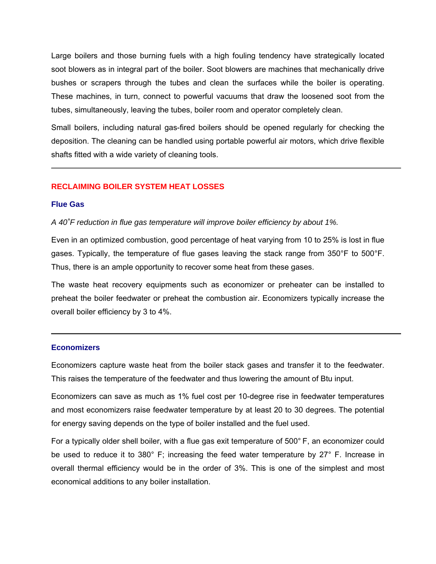Large boilers and those burning fuels with a high fouling tendency have strategically located soot blowers as in integral part of the boiler. Soot blowers are machines that mechanically drive bushes or scrapers through the tubes and clean the surfaces while the boiler is operating. These machines, in turn, connect to powerful vacuums that draw the loosened soot from the tubes, simultaneously, leaving the tubes, boiler room and operator completely clean.

Small boilers, including natural gas-fired boilers should be opened regularly for checking the deposition. The cleaning can be handled using portable powerful air motors, which drive flexible shafts fitted with a wide variety of cleaning tools.

#### **RECLAIMING BOILER SYSTEM HEAT LOSSES**

#### **Flue Gas**

*A 40˚F reduction in flue gas temperature will improve boiler efficiency by about 1%.* 

Even in an optimized combustion, good percentage of heat varying from 10 to 25% is lost in flue gases. Typically, the temperature of flue gases leaving the stack range from 350°F to 500°F. Thus, there is an ample opportunity to recover some heat from these gases.

The waste heat recovery equipments such as economizer or preheater can be installed to preheat the boiler feedwater or preheat the combustion air. Economizers typically increase the overall boiler efficiency by 3 to 4%.

#### **Economizers**

Economizers capture waste heat from the boiler stack gases and transfer it to the feedwater. This raises the temperature of the feedwater and thus lowering the amount of Btu input.

Economizers can save as much as 1% fuel cost per 10-degree rise in feedwater temperatures and most economizers raise feedwater temperature by at least 20 to 30 degrees. The potential for energy saving depends on the type of boiler installed and the fuel used.

For a typically older shell boiler, with a flue gas exit temperature of 500° F, an economizer could be used to reduce it to 380° F; increasing the feed water temperature by 27° F. Increase in overall thermal efficiency would be in the order of 3%. This is one of the simplest and most economical additions to any boiler installation.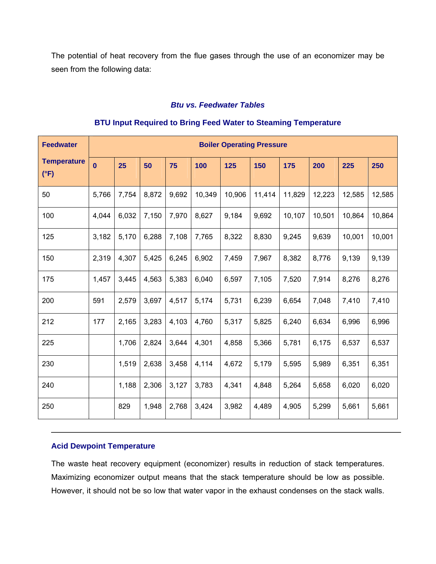The potential of heat recovery from the flue gases through the use of an economizer may be seen from the following data:

# *Btu vs. Feedwater Tables*

| <b>Feedwater</b>                    |              | <b>Boiler Operating Pressure</b> |       |       |        |        |        |        |        |        |        |
|-------------------------------------|--------------|----------------------------------|-------|-------|--------|--------|--------|--------|--------|--------|--------|
| <b>Temperature</b><br>$(^{\circ}F)$ | $\mathbf{0}$ | 25                               | 50    | 75    | 100    | 125    | 150    | 175    | 200    | 225    | 250    |
| 50                                  | 5,766        | 7,754                            | 8,872 | 9,692 | 10,349 | 10,906 | 11,414 | 11,829 | 12,223 | 12,585 | 12,585 |
| 100                                 | 4,044        | 6,032                            | 7,150 | 7,970 | 8,627  | 9,184  | 9,692  | 10,107 | 10,501 | 10,864 | 10,864 |
| 125                                 | 3,182        | 5,170                            | 6,288 | 7,108 | 7,765  | 8,322  | 8,830  | 9,245  | 9,639  | 10,001 | 10,001 |
| 150                                 | 2,319        | 4,307                            | 5,425 | 6,245 | 6,902  | 7,459  | 7,967  | 8,382  | 8,776  | 9,139  | 9,139  |
| 175                                 | 1,457        | 3,445                            | 4,563 | 5,383 | 6,040  | 6,597  | 7,105  | 7,520  | 7,914  | 8,276  | 8,276  |
| 200                                 | 591          | 2,579                            | 3,697 | 4,517 | 5,174  | 5,731  | 6,239  | 6,654  | 7,048  | 7,410  | 7,410  |
| 212                                 | 177          | 2,165                            | 3,283 | 4,103 | 4,760  | 5,317  | 5,825  | 6,240  | 6,634  | 6,996  | 6,996  |
| 225                                 |              | 1,706                            | 2,824 | 3,644 | 4,301  | 4,858  | 5,366  | 5,781  | 6,175  | 6,537  | 6,537  |
| 230                                 |              | 1,519                            | 2,638 | 3,458 | 4,114  | 4,672  | 5,179  | 5,595  | 5,989  | 6,351  | 6,351  |
| 240                                 |              | 1,188                            | 2,306 | 3,127 | 3,783  | 4,341  | 4,848  | 5,264  | 5,658  | 6,020  | 6,020  |
| 250                                 |              | 829                              | 1,948 | 2,768 | 3,424  | 3,982  | 4,489  | 4,905  | 5,299  | 5,661  | 5,661  |

#### **BTU Input Required to Bring Feed Water to Steaming Temperature**

# **Acid Dewpoint Temperature**

The waste heat recovery equipment (economizer) results in reduction of stack temperatures. Maximizing economizer output means that the stack temperature should be low as possible. However, it should not be so low that water vapor in the exhaust condenses on the stack walls.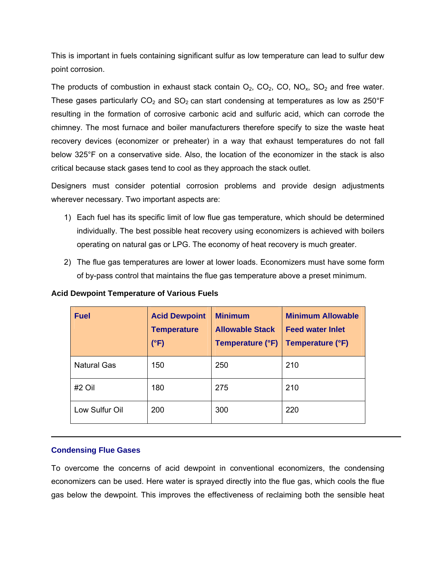This is important in fuels containing significant sulfur as low temperature can lead to sulfur dew point corrosion.

The products of combustion in exhaust stack contain  $O_2$ ,  $CO_2$ ,  $CO$ ,  $NO_x$ ,  $SO_2$  and free water. These gases particularly  $CO<sub>2</sub>$  and  $SO<sub>2</sub>$  can start condensing at temperatures as low as 250°F resulting in the formation of corrosive carbonic acid and sulfuric acid, which can corrode the chimney. The most furnace and boiler manufacturers therefore specify to size the waste heat recovery devices (economizer or preheater) in a way that exhaust temperatures do not fall below 325°F on a conservative side. Also, the location of the economizer in the stack is also critical because stack gases tend to cool as they approach the stack outlet.

Designers must consider potential corrosion problems and provide design adjustments wherever necessary. Two important aspects are:

- 1) Each fuel has its specific limit of low flue gas temperature, which should be determined individually. The best possible heat recovery using economizers is achieved with boilers operating on natural gas or LPG. The economy of heat recovery is much greater.
- 2) The flue gas temperatures are lower at lower loads. Economizers must have some form of by-pass control that maintains the flue gas temperature above a preset minimum.

| <b>Fuel</b>        | <b>Acid Dewpoint</b><br><b>Temperature</b><br>(°F) | <b>Minimum</b><br><b>Allowable Stack</b><br>Temperature (°F) | <b>Minimum Allowable</b><br><b>Feed water Inlet</b><br>Temperature (°F) |
|--------------------|----------------------------------------------------|--------------------------------------------------------------|-------------------------------------------------------------------------|
| <b>Natural Gas</b> | 150                                                | 250                                                          | 210                                                                     |
| #2 Oil             | 180                                                | 275                                                          | 210                                                                     |
| Low Sulfur Oil     | 200                                                | 300                                                          | 220                                                                     |

**Acid Dewpoint Temperature of Various Fuels**

# **Condensing Flue Gases**

To overcome the concerns of acid dewpoint in conventional economizers, the condensing economizers can be used. Here water is sprayed directly into the flue gas, which cools the flue gas below the dewpoint. This improves the effectiveness of reclaiming both the sensible heat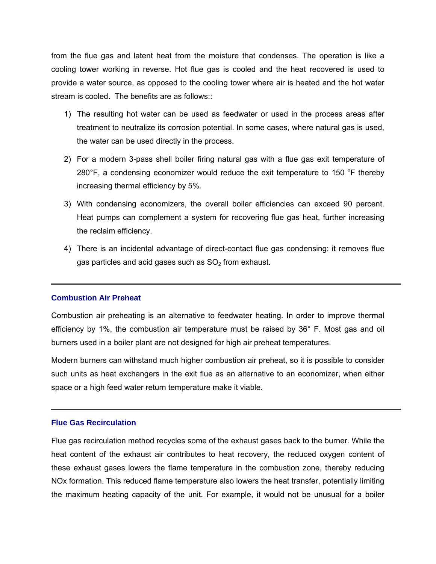from the flue gas and latent heat from the moisture that condenses. The operation is like a cooling tower working in reverse. Hot flue gas is cooled and the heat recovered is used to provide a water source, as opposed to the cooling tower where air is heated and the hot water stream is cooled. The benefits are as follows::

- 1) The resulting hot water can be used as feedwater or used in the process areas after treatment to neutralize its corrosion potential. In some cases, where natural gas is used, the water can be used directly in the process.
- 2) For a modern 3-pass shell boiler firing natural gas with a flue gas exit temperature of 280°F, a condensing economizer would reduce the exit temperature to 150  $\textdegree$ F thereby increasing thermal efficiency by 5%.
- 3) With condensing economizers, the overall boiler efficiencies can exceed 90 percent. Heat pumps can complement a system for recovering flue gas heat, further increasing the reclaim efficiency.
- 4) There is an incidental advantage of direct-contact flue gas condensing: it removes flue gas particles and acid gases such as  $SO<sub>2</sub>$  from exhaust.

#### **Combustion Air Preheat**

Combustion air preheating is an alternative to feedwater heating. In order to improve thermal efficiency by 1%, the combustion air temperature must be raised by 36° F. Most gas and oil burners used in a boiler plant are not designed for high air preheat temperatures.

Modern burners can withstand much higher combustion air preheat, so it is possible to consider such units as heat exchangers in the exit flue as an alternative to an economizer, when either space or a high feed water return temperature make it viable.

# **Flue Gas Recirculation**

Flue gas recirculation method recycles some of the exhaust gases back to the burner. While the heat content of the exhaust air contributes to heat recovery, the reduced oxygen content of these exhaust gases lowers the flame temperature in the combustion zone, thereby reducing NOx formation. This reduced flame temperature also lowers the heat transfer, potentially limiting the maximum heating capacity of the unit. For example, it would not be unusual for a boiler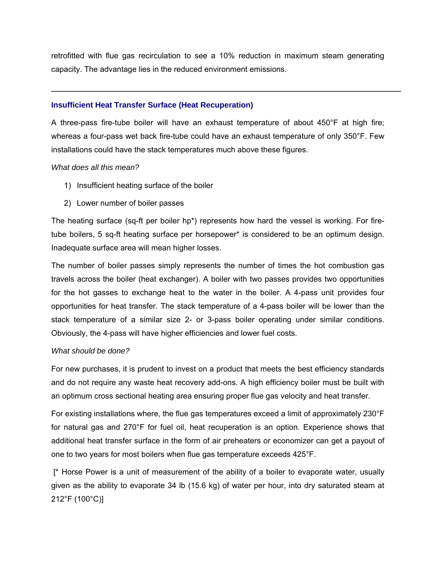retrofitted with flue gas recirculation to see a 10% reduction in maximum steam generating capacity. The advantage lies in the reduced environment emissions.

# **Insufficient Heat Transfer Surface (Heat Recuperation)**

A three-pass fire-tube boiler will have an exhaust temperature of about 450°F at high fire; whereas a four-pass wet back fire-tube could have an exhaust temperature of only 350°F. Few installations could have the stack temperatures much above these figures.

#### *What does all this mean?*

- 1) Insufficient heating surface of the boiler
- 2) Lower number of boiler passes

The heating surface (sq-ft per boiler hp\*) represents how hard the vessel is working. For firetube boilers, 5 sq-ft heating surface per horsepower\* is considered to be an optimum design. Inadequate surface area will mean higher losses.

The number of boiler passes simply represents the number of times the hot combustion gas travels across the boiler (heat exchanger). A boiler with two passes provides two opportunities for the hot gasses to exchange heat to the water in the boiler. A 4-pass unit provides four opportunities for heat transfer. The stack temperature of a 4-pass boiler will be lower than the stack temperature of a similar size 2- or 3-pass boiler operating under similar conditions. Obviously, the 4-pass will have higher efficiencies and lower fuel costs.

# *What should be done?*

For new purchases, it is prudent to invest on a product that meets the best efficiency standards and do not require any waste heat recovery add-ons. A high efficiency boiler must be built with an optimum cross sectional heating area ensuring proper flue gas velocity and heat transfer.

For existing installations where, the flue gas temperatures exceed a limit of approximately 230°F for natural gas and 270°F for fuel oil, heat recuperation is an option. Experience shows that additional heat transfer surface in the form of air preheaters or economizer can get a payout of one to two years for most boilers when flue gas temperature exceeds 425°F.

[\* Horse Power is a unit of measurement of the ability of a boiler to evaporate water, usually given as the ability to evaporate 34 lb (15.6 kg) of water per hour, into dry saturated steam at 212°F (100°C)]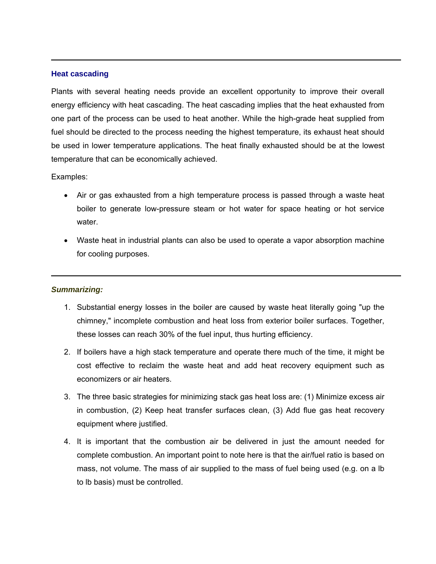#### **Heat cascading**

Plants with several heating needs provide an excellent opportunity to improve their overall energy efficiency with heat cascading. The heat cascading implies that the heat exhausted from one part of the process can be used to heat another. While the high-grade heat supplied from fuel should be directed to the process needing the highest temperature, its exhaust heat should be used in lower temperature applications. The heat finally exhausted should be at the lowest temperature that can be economically achieved.

Examples:

- Air or gas exhausted from a high temperature process is passed through a waste heat boiler to generate low-pressure steam or hot water for space heating or hot service water.
- Waste heat in industrial plants can also be used to operate a vapor absorption machine for cooling purposes.

#### *Summarizing:*

- 1. Substantial energy losses in the boiler are caused by waste heat literally going "up the chimney," incomplete combustion and heat loss from exterior boiler surfaces. Together, these losses can reach 30% of the fuel input, thus hurting efficiency.
- 2. If boilers have a high stack temperature and operate there much of the time, it might be cost effective to reclaim the waste heat and add heat recovery equipment such as economizers or air heaters.
- 3. The three basic strategies for minimizing stack gas heat loss are: (1) Minimize excess air in combustion, (2) Keep heat transfer surfaces clean, (3) Add flue gas heat recovery equipment where justified.
- 4. It is important that the combustion air be delivered in just the amount needed for complete combustion. An important point to note here is that the air/fuel ratio is based on mass, not volume. The mass of air supplied to the mass of fuel being used (e.g. on a lb to lb basis) must be controlled.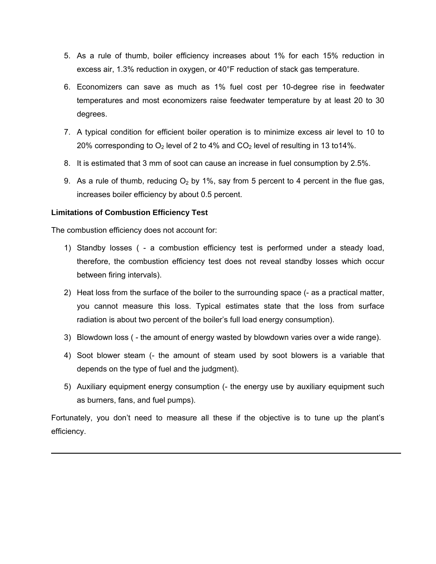- 5. As a rule of thumb, boiler efficiency increases about 1% for each 15% reduction in excess air, 1.3% reduction in oxygen, or 40°F reduction of stack gas temperature.
- 6. Economizers can save as much as 1% fuel cost per 10-degree rise in feedwater temperatures and most economizers raise feedwater temperature by at least 20 to 30 degrees.
- 7. A typical condition for efficient boiler operation is to minimize excess air level to 10 to 20% corresponding to  $O<sub>2</sub>$  level of 2 to 4% and CO<sub>2</sub> level of resulting in 13 to 14%.
- 8. It is estimated that 3 mm of soot can cause an increase in fuel consumption by 2.5%.
- 9. As a rule of thumb, reducing  $O<sub>2</sub>$  by 1%, say from 5 percent to 4 percent in the flue gas, increases boiler efficiency by about 0.5 percent.

# **Limitations of Combustion Efficiency Test**

The combustion efficiency does not account for:

- 1) Standby losses ( a combustion efficiency test is performed under a steady load, therefore, the combustion efficiency test does not reveal standby losses which occur between firing intervals).
- 2) Heat loss from the surface of the boiler to the surrounding space (- as a practical matter, you cannot measure this loss. Typical estimates state that the loss from surface radiation is about two percent of the boiler's full load energy consumption).
- 3) Blowdown loss ( the amount of energy wasted by blowdown varies over a wide range).
- 4) Soot blower steam (- the amount of steam used by soot blowers is a variable that depends on the type of fuel and the judgment).
- 5) Auxiliary equipment energy consumption (- the energy use by auxiliary equipment such as burners, fans, and fuel pumps).

Fortunately, you don't need to measure all these if the objective is to tune up the plant's efficiency.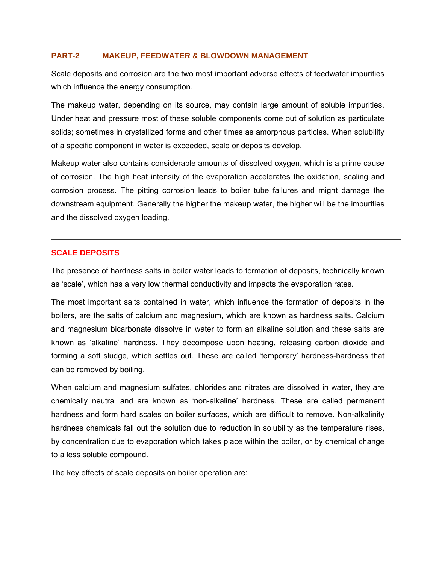# **PART-2 MAKEUP, FEEDWATER & BLOWDOWN MANAGEMENT**

Scale deposits and corrosion are the two most important adverse effects of feedwater impurities which influence the energy consumption.

The makeup water, depending on its source, may contain large amount of soluble impurities. Under heat and pressure most of these soluble components come out of solution as particulate solids; sometimes in crystallized forms and other times as amorphous particles. When solubility of a specific component in water is exceeded, scale or deposits develop.

Makeup water also contains considerable amounts of dissolved oxygen, which is a prime cause of corrosion. The high heat intensity of the evaporation accelerates the oxidation, scaling and corrosion process. The pitting corrosion leads to boiler tube failures and might damage the downstream equipment. Generally the higher the makeup water, the higher will be the impurities and the dissolved oxygen loading.

# **SCALE DEPOSITS**

The presence of hardness salts in boiler water leads to formation of deposits, technically known as 'scale', which has a very low thermal conductivity and impacts the evaporation rates.

The most important salts contained in water, which influence the formation of deposits in the boilers, are the salts of calcium and magnesium, which are known as hardness salts. Calcium and magnesium bicarbonate dissolve in water to form an alkaline solution and these salts are known as 'alkaline' hardness. They decompose upon heating, releasing carbon dioxide and forming a soft sludge, which settles out. These are called 'temporary' hardness-hardness that can be removed by boiling.

When calcium and magnesium sulfates, chlorides and nitrates are dissolved in water, they are chemically neutral and are known as 'non-alkaline' hardness. These are called permanent hardness and form hard scales on boiler surfaces, which are difficult to remove. Non-alkalinity hardness chemicals fall out the solution due to reduction in solubility as the temperature rises, by concentration due to evaporation which takes place within the boiler, or by chemical change to a less soluble compound.

The key effects of scale deposits on boiler operation are: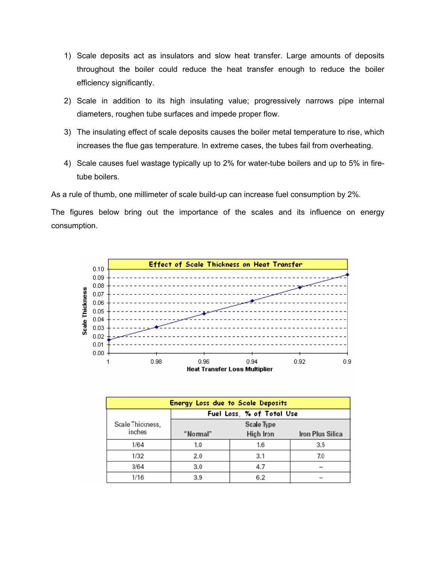- 1) Scale deposits act as insulators and slow heat transfer. Large amounts of deposits throughout the boiler could reduce the heat transfer enough to reduce the boiler efficiency significantly.
- 2) Scale in addition to its high insulating value; progressively narrows pipe internal diameters, roughen tube surfaces and impede proper flow.
- 3) The insulating effect of scale deposits causes the boiler metal temperature to rise, which increases the flue gas temperature. In extreme cases, the tubes fail from overheating.
- 4) Scale causes fuel wastage typically up to 2% for water-tube boilers and up to 5% in firetube boilers.

As a rule of thumb, one millimeter of scale build-up can increase fuel consumption by 2%*.* 

The figures below bring out the importance of the scales and its influence on energy consumption.



| Energy Loss due to Scale Deposits |                           |            |                         |  |  |  |  |
|-----------------------------------|---------------------------|------------|-------------------------|--|--|--|--|
|                                   | Fuel Loss, % of Total Use |            |                         |  |  |  |  |
| Scale Thickness,                  |                           | Scale Type |                         |  |  |  |  |
| inches                            | "Normal"                  | High Iron  | <b>Iron Plus Silica</b> |  |  |  |  |
| 1/64                              | 1.0                       | 1.6        | 3.5                     |  |  |  |  |
| 1/32                              | 2.0                       | 3.1        | 7.0                     |  |  |  |  |
| 3/64                              | 3.0                       | 4.7        |                         |  |  |  |  |
| 1/16                              | 3.9                       | 6.2        |                         |  |  |  |  |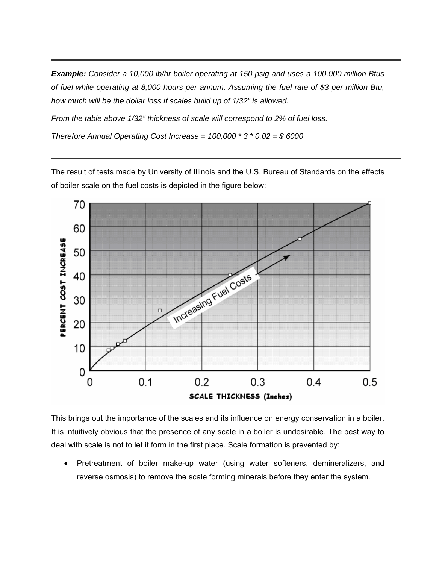*Example: Consider a 10,000 lb/hr boiler operating at 150 psig and uses a 100,000 million Btus of fuel while operating at 8,000 hours per annum. Assuming the fuel rate of \$3 per million Btu, how much will be the dollar loss if scales build up of 1/32" is allowed.* 

*From the table above 1/32" thickness of scale will correspond to 2% of fuel loss.* 

*Therefore Annual Operating Cost Increase = 100,000 \* 3 \* 0.02 = \$ 6000* 

The result of tests made by University of Illinois and the U.S. Bureau of Standards on the effects of boiler scale on the fuel costs is depicted in the figure below:



This brings out the importance of the scales and its influence on energy conservation in a boiler. It is intuitively obvious that the presence of any scale in a boiler is undesirable. The best way to deal with scale is not to let it form in the first place. Scale formation is prevented by:

• Pretreatment of boiler make-up water (using water softeners, demineralizers, and reverse osmosis) to remove the scale forming minerals before they enter the system.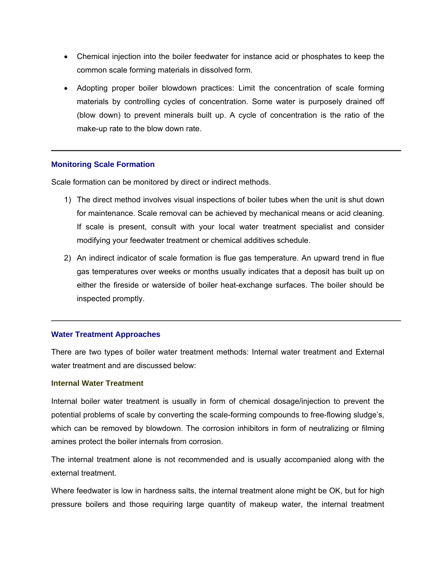- Chemical injection into the boiler feedwater for instance acid or phosphates to keep the common scale forming materials in dissolved form.
- Adopting proper boiler blowdown practices: Limit the concentration of scale forming materials by controlling cycles of concentration. Some water is purposely drained off (blow down) to prevent minerals built up. A cycle of concentration is the ratio of the make-up rate to the blow down rate.

# **Monitoring Scale Formation**

Scale formation can be monitored by direct or indirect methods.

- 1) The direct method involves visual inspections of boiler tubes when the unit is shut down for maintenance. Scale removal can be achieved by mechanical means or acid cleaning. If scale is present, consult with your local water treatment specialist and consider modifying your feedwater treatment or chemical additives schedule.
- 2) An indirect indicator of scale formation is flue gas temperature. An upward trend in flue gas temperatures over weeks or months usually indicates that a deposit has built up on either the fireside or waterside of boiler heat-exchange surfaces. The boiler should be inspected promptly.

#### **Water Treatment Approaches**

There are two types of boiler water treatment methods: Internal water treatment and External water treatment and are discussed below:

#### **Internal Water Treatment**

Internal boiler water treatment is usually in form of chemical dosage/injection to prevent the potential problems of scale by converting the scale-forming compounds to free-flowing sludge's, which can be removed by blowdown. The corrosion inhibitors in form of neutralizing or filming amines protect the boiler internals from corrosion.

The internal treatment alone is not recommended and is usually accompanied along with the external treatment.

Where feedwater is low in hardness salts, the internal treatment alone might be OK, but for high pressure boilers and those requiring large quantity of makeup water, the internal treatment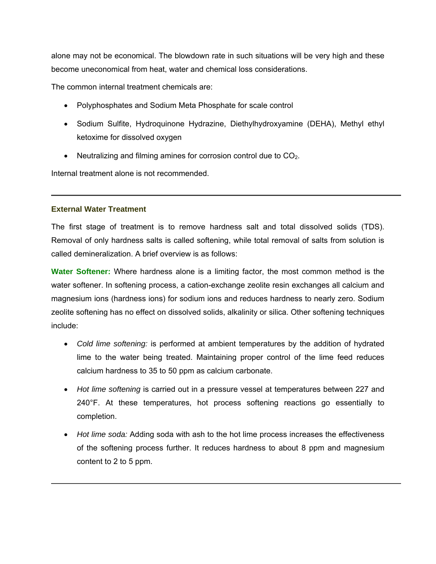alone may not be economical. The blowdown rate in such situations will be very high and these become uneconomical from heat, water and chemical loss considerations.

The common internal treatment chemicals are:

- Polyphosphates and Sodium Meta Phosphate for scale control
- Sodium Sulfite, Hydroquinone Hydrazine, Diethylhydroxyamine (DEHA), Methyl ethyl ketoxime for dissolved oxygen
- Neutralizing and filming amines for corrosion control due to  $CO<sub>2</sub>$ .

Internal treatment alone is not recommended.

# **External Water Treatment**

The first stage of treatment is to remove hardness salt and total dissolved solids (TDS). Removal of only hardness salts is called softening, while total removal of salts from solution is called demineralization. A brief overview is as follows:

**Water Softener:** Where hardness alone is a limiting factor, the most common method is the water softener. In softening process, a cation-exchange zeolite resin exchanges all calcium and magnesium ions (hardness ions) for sodium ions and reduces hardness to nearly zero. Sodium zeolite softening has no effect on dissolved solids, alkalinity or silica. Other softening techniques include:

- *Cold lime softening:* is performed at ambient temperatures by the addition of hydrated lime to the water being treated. Maintaining proper control of the lime feed reduces calcium hardness to 35 to 50 ppm as calcium carbonate.
- *Hot lime softening* is carried out in a pressure vessel at temperatures between 227 and 240°F. At these temperatures, hot process softening reactions go essentially to completion.
- *Hot lime soda:* Adding soda with ash to the hot lime process increases the effectiveness of the softening process further. It reduces hardness to about 8 ppm and magnesium content to 2 to 5 ppm.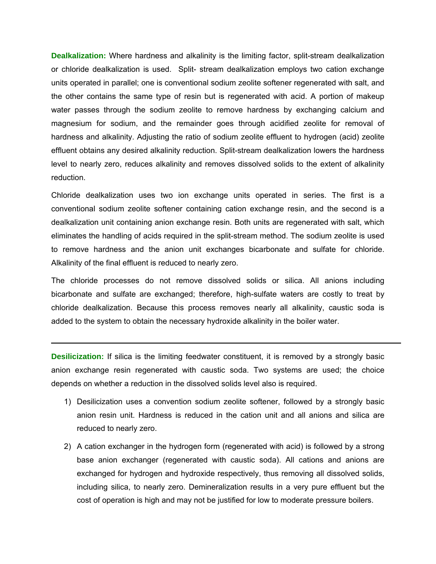**Dealkalization:** Where hardness and alkalinity is the limiting factor, split-stream dealkalization or chloride dealkalization is used. Split- stream dealkalization employs two cation exchange units operated in parallel; one is conventional sodium zeolite softener regenerated with salt, and the other contains the same type of resin but is regenerated with acid. A portion of makeup water passes through the sodium zeolite to remove hardness by exchanging calcium and magnesium for sodium, and the remainder goes through acidified zeolite for removal of hardness and alkalinity. Adjusting the ratio of sodium zeolite effluent to hydrogen (acid) zeolite effluent obtains any desired alkalinity reduction. Split-stream dealkalization lowers the hardness level to nearly zero, reduces alkalinity and removes dissolved solids to the extent of alkalinity reduction.

Chloride dealkalization uses two ion exchange units operated in series. The first is a conventional sodium zeolite softener containing cation exchange resin, and the second is a dealkalization unit containing anion exchange resin. Both units are regenerated with salt, which eliminates the handling of acids required in the split-stream method. The sodium zeolite is used to remove hardness and the anion unit exchanges bicarbonate and sulfate for chloride. Alkalinity of the final effluent is reduced to nearly zero.

The chloride processes do not remove dissolved solids or silica. All anions including bicarbonate and sulfate are exchanged; therefore, high-sulfate waters are costly to treat by chloride dealkalization. Because this process removes nearly all alkalinity, caustic soda is added to the system to obtain the necessary hydroxide alkalinity in the boiler water.

**Desilicization:** If silica is the limiting feedwater constituent, it is removed by a strongly basic anion exchange resin regenerated with caustic soda. Two systems are used; the choice depends on whether a reduction in the dissolved solids level also is required.

- 1) Desilicization uses a convention sodium zeolite softener, followed by a strongly basic anion resin unit. Hardness is reduced in the cation unit and all anions and silica are reduced to nearly zero.
- 2) A cation exchanger in the hydrogen form (regenerated with acid) is followed by a strong base anion exchanger (regenerated with caustic soda). All cations and anions are exchanged for hydrogen and hydroxide respectively, thus removing all dissolved solids, including silica, to nearly zero. Demineralization results in a very pure effluent but the cost of operation is high and may not be justified for low to moderate pressure boilers.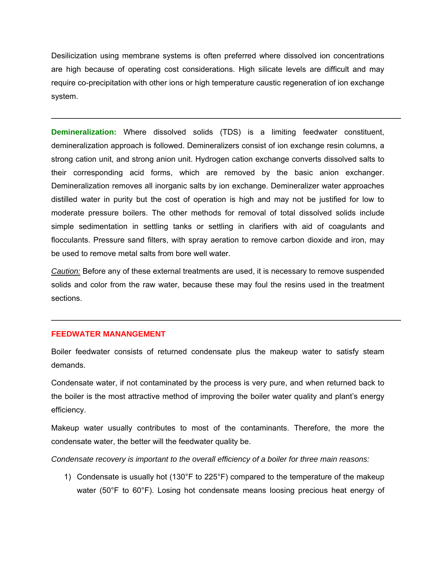Desilicization using membrane systems is often preferred where dissolved ion concentrations are high because of operating cost considerations. High silicate levels are difficult and may require co-precipitation with other ions or high temperature caustic regeneration of ion exchange system.

**Demineralization:** Where dissolved solids (TDS) is a limiting feedwater constituent, demineralization approach is followed. Demineralizers consist of ion exchange resin columns, a strong cation unit, and strong anion unit. Hydrogen cation exchange converts dissolved salts to their corresponding acid forms, which are removed by the basic anion exchanger. Demineralization removes all inorganic salts by ion exchange. Demineralizer water approaches distilled water in purity but the cost of operation is high and may not be justified for low to moderate pressure boilers. The other methods for removal of total dissolved solids include simple sedimentation in settling tanks or settling in clarifiers with aid of coagulants and flocculants. Pressure sand filters, with spray aeration to remove carbon dioxide and iron, may be used to remove metal salts from bore well water.

*Caution:* Before any of these external treatments are used, it is necessary to remove suspended solids and color from the raw water, because these may foul the resins used in the treatment sections.

# **FEEDWATER MANANGEMENT**

Boiler feedwater consists of returned condensate plus the makeup water to satisfy steam demands.

Condensate water, if not contaminated by the process is very pure, and when returned back to the boiler is the most attractive method of improving the boiler water quality and plant's energy efficiency.

Makeup water usually contributes to most of the contaminants. Therefore, the more the condensate water, the better will the feedwater quality be.

*Condensate recovery is important to the overall efficiency of a boiler for three main reasons:* 

1) Condensate is usually hot (130°F to 225°F) compared to the temperature of the makeup water (50°F to 60°F). Losing hot condensate means loosing precious heat energy of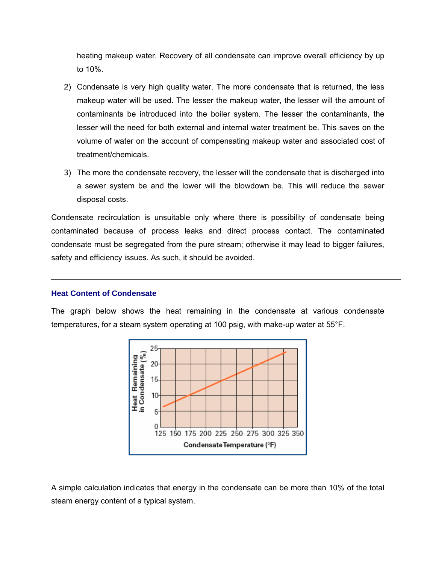heating makeup water. Recovery of all condensate can improve overall efficiency by up to 10%.

- 2) Condensate is very high quality water. The more condensate that is returned, the less makeup water will be used. The lesser the makeup water, the lesser will the amount of contaminants be introduced into the boiler system. The lesser the contaminants, the lesser will the need for both external and internal water treatment be. This saves on the volume of water on the account of compensating makeup water and associated cost of treatment/chemicals.
- 3) The more the condensate recovery, the lesser will the condensate that is discharged into a sewer system be and the lower will the blowdown be. This will reduce the sewer disposal costs.

Condensate recirculation is unsuitable only where there is possibility of condensate being contaminated because of process leaks and direct process contact. The contaminated condensate must be segregated from the pure stream; otherwise it may lead to bigger failures, safety and efficiency issues. As such, it should be avoided.

#### **Heat Content of Condensate**

The graph below shows the heat remaining in the condensate at various condensate temperatures, for a steam system operating at 100 psig, with make-up water at 55°F.



A simple calculation indicates that energy in the condensate can be more than 10% of the total steam energy content of a typical system.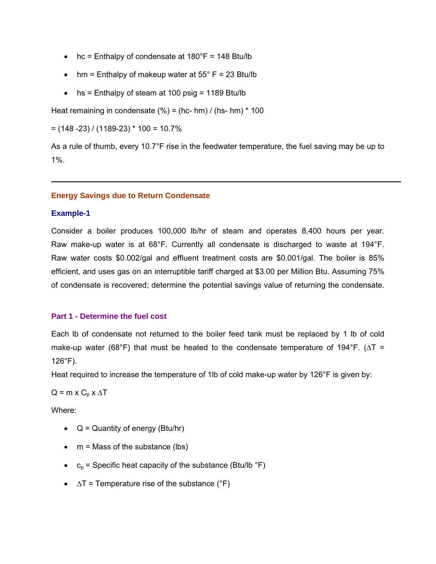- hc = Enthalpy of condensate at  $180^\circ$ F = 148 Btu/lb
- hm = Enthalpy of makeup water at  $55^{\circ}$  F = 23 Btu/lb
- hs = Enthalpy of steam at 100 psig = 1189 Btu/lb

Heat remaining in condensate  $(\%) = (hc - hm) / (hs - hm) * 100$ 

 $=$  (148 -23) / (1189-23)  $*$  100 = 10.7%

As a rule of thumb, every 10.7°F rise in the feedwater temperature, the fuel saving may be up to 1%.

# **Energy Savings due to Return Condensate**

#### **Example-1**

Consider a boiler produces 100,000 lb/hr of steam and operates 8,400 hours per year. Raw make-up water is at 68°F. Currently all condensate is discharged to waste at 194°F. Raw water costs \$0.002/gal and effluent treatment costs are \$0.001/gal. The boiler is 85% efficient, and uses gas on an interruptible tariff charged at \$3.00 per Million Btu. Assuming 75% of condensate is recovered; determine the potential savings value of returning the condensate.

#### **Part 1 - Determine the fuel cost**

Each lb of condensate not returned to the boiler feed tank must be replaced by 1 lb of cold make-up water (68°F) that must be heated to the condensate temperature of 194°F. ( $\Delta T$  = 126°F).

Heat required to increase the temperature of 1lb of cold make-up water by 126°F is given by:

 $Q = m \times C_p \times \Delta T$ 

Where:

- $Q =$  Quantity of energy (Btu/hr)
- $\bullet$  m = Mass of the substance (lbs)
- $c_p$  = Specific heat capacity of the substance (Btu/lb  $\degree$ F)
- $\Delta T$  = Temperature rise of the substance ( ${}^{\circ}$ F)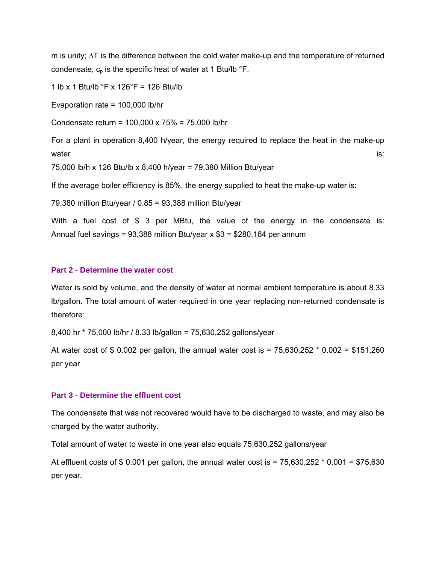m is unity; ∆T is the difference between the cold water make-up and the temperature of returned condensate;  $c_p$  is the specific heat of water at 1 Btu/lb  $\degree$ F.

1 lb x 1 Btu/lb °F x 126°F = 126 Btu/lb

Evaporation rate = 100,000 lb/hr

Condensate return = 100,000 x 75% = 75,000 lb/hr

For a plant in operation 8,400 h/year, the energy required to replace the heat in the make-up water is:

75,000 lb/h x 126 Btu/lb x 8,400 h/year = 79,380 Million Btu/year

If the average boiler efficiency is 85%, the energy supplied to heat the make-up water is:

79,380 million Btu/year / 0.85 = 93,388 million Btu/year

With a fuel cost of \$ 3 per MBtu, the value of the energy in the condensate is: Annual fuel savings =  $93,388$  million Btu/year x  $$3 = $280,164$  per annum

#### **Part 2 - Determine the water cost**

Water is sold by volume, and the density of water at normal ambient temperature is about 8.33 lb/gallon. The total amount of water required in one year replacing non-returned condensate is therefore:

8,400 hr \* 75,000 lb/hr / 8.33 lb/gallon = 75,630,252 gallons/year

At water cost of \$ 0.002 per gallon, the annual water cost is =  $75,630,252 \div 0.002 = $151,260$ per year

#### **Part 3 - Determine the effluent cost**

The condensate that was not recovered would have to be discharged to waste, and may also be charged by the water authority.

Total amount of water to waste in one year also equals 75,630,252 gallons/year

At effluent costs of \$ 0.001 per gallon, the annual water cost is =  $75,630,252$  \* 0.001 = \$75,630 per year.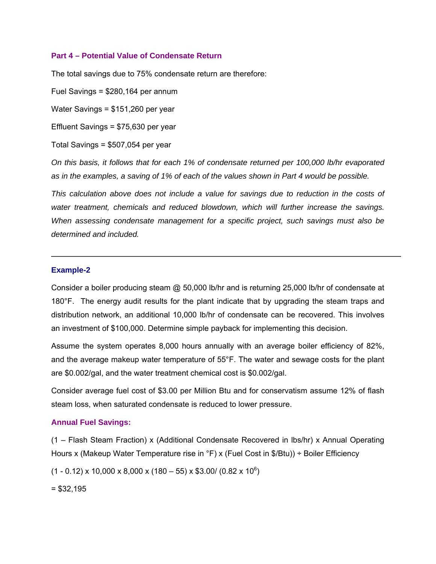#### **Part 4 – Potential Value of Condensate Return**

The total savings due to 75% condensate return are therefore:

Fuel Savings = \$280,164 per annum

Water Savings = \$151,260 per year

Effluent Savings = \$75,630 per year

Total Savings = \$507,054 per year

*On this basis, it follows that for each 1% of condensate returned per 100,000 lb/hr evaporated as in the examples, a saving of 1% of each of the values shown in Part 4 would be possible.* 

*This calculation above does not include a value for savings due to reduction in the costs of water treatment, chemicals and reduced blowdown, which will further increase the savings. When assessing condensate management for a specific project, such savings must also be determined and included.* 

# **Example-2**

Consider a boiler producing steam @ 50,000 lb/hr and is returning 25,000 lb/hr of condensate at 180°F. The energy audit results for the plant indicate that by upgrading the steam traps and distribution network, an additional 10,000 lb/hr of condensate can be recovered. This involves an investment of \$100,000. Determine simple payback for implementing this decision.

Assume the system operates 8,000 hours annually with an average boiler efficiency of 82%, and the average makeup water temperature of 55°F. The water and sewage costs for the plant are \$0.002/gal, and the water treatment chemical cost is \$0.002/gal.

Consider average fuel cost of \$3.00 per Million Btu and for conservatism assume 12% of flash steam loss, when saturated condensate is reduced to lower pressure.

# **Annual Fuel Savings:**

(1 – Flash Steam Fraction) x (Additional Condensate Recovered in lbs/hr) x Annual Operating Hours x (Makeup Water Temperature rise in  ${}^{\circ}$ F) x (Fuel Cost in \$/Btu)) ÷ Boiler Efficiency

 $(1 - 0.12)$  x 10,000 x 8,000 x (180 – 55) x \$3.00/ (0.82 x 10<sup>6</sup>)

 $= $32,195$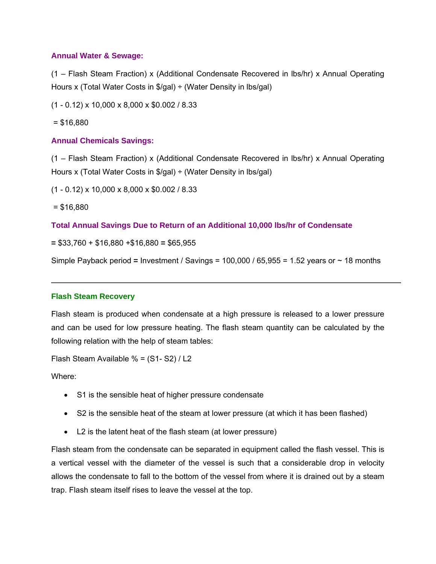# **Annual Water & Sewage:**

(1 – Flash Steam Fraction) x (Additional Condensate Recovered in lbs/hr) x Annual Operating Hours x (Total Water Costs in \$/gal) ÷ (Water Density in lbs/gal)

(1 - 0.12) x 10,000 x 8,000 x \$0.002 / 8.33

 $= $16.880$ 

# **Annual Chemicals Savings:**

(1 – Flash Steam Fraction) x (Additional Condensate Recovered in lbs/hr) x Annual Operating Hours x (Total Water Costs in \$/gal) ÷ (Water Density in lbs/gal)

(1 - 0.12) x 10,000 x 8,000 x \$0.002 / 8.33

 $= $16.880$ 

# **Total Annual Savings Due to Return of an Additional 10,000 lbs/hr of Condensate**

**=** \$33,760 + \$16,880 +\$16,880 **=** \$65,955

Simple Payback period **=** Investment / Savings = 100,000 / 65,955 = 1.52 years or ~ 18 months

# **Flash Steam Recovery**

Flash steam is produced when condensate at a high pressure is released to a lower pressure and can be used for low pressure heating. The flash steam quantity can be calculated by the following relation with the help of steam tables:

Flash Steam Available % = (S1- S2) / L2

Where:

- S1 is the sensible heat of higher pressure condensate
- S2 is the sensible heat of the steam at lower pressure (at which it has been flashed)
- L2 is the latent heat of the flash steam (at lower pressure)

Flash steam from the condensate can be separated in equipment called the flash vessel. This is a vertical vessel with the diameter of the vessel is such that a considerable drop in velocity allows the condensate to fall to the bottom of the vessel from where it is drained out by a steam trap. Flash steam itself rises to leave the vessel at the top.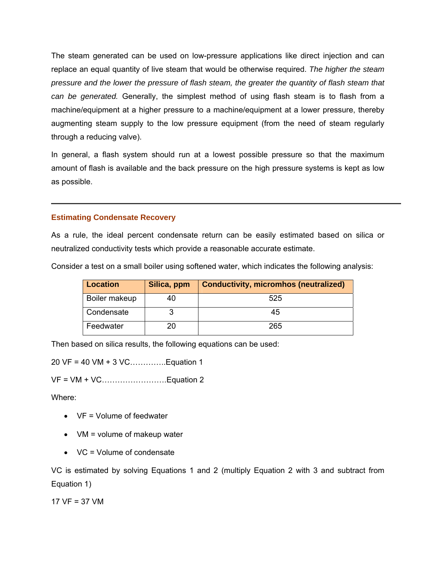The steam generated can be used on low-pressure applications like direct injection and can replace an equal quantity of live steam that would be otherwise required. *The higher the steam pressure and the lower the pressure of flash steam, the greater the quantity of flash steam that can be generated.* Generally, the simplest method of using flash steam is to flash from a machine/equipment at a higher pressure to a machine/equipment at a lower pressure, thereby augmenting steam supply to the low pressure equipment (from the need of steam regularly through a reducing valve).

In general, a flash system should run at a lowest possible pressure so that the maximum amount of flash is available and the back pressure on the high pressure systems is kept as low as possible.

# **Estimating Condensate Recovery**

As a rule, the ideal percent condensate return can be easily estimated based on silica or neutralized conductivity tests which provide a reasonable accurate estimate.

Consider a test on a small boiler using softened water, which indicates the following analysis:

| <b>Location</b> | Silica, ppm | <b>Conductivity, micromhos (neutralized)</b> |
|-----------------|-------------|----------------------------------------------|
| Boiler makeup   | 40          | 525                                          |
| Condensate      |             | 45                                           |
| Feedwater       | 20          | 265                                          |

Then based on silica results, the following equations can be used:

20 VF = 40 VM + 3 VC…………..Equation 1

VF = VM + VC…………………….Equation 2

Where:

- VF = Volume of feedwater
- VM = volume of makeup water
- VC = Volume of condensate

VC is estimated by solving Equations 1 and 2 (multiply Equation 2 with 3 and subtract from Equation 1)

17 VF = 37 VM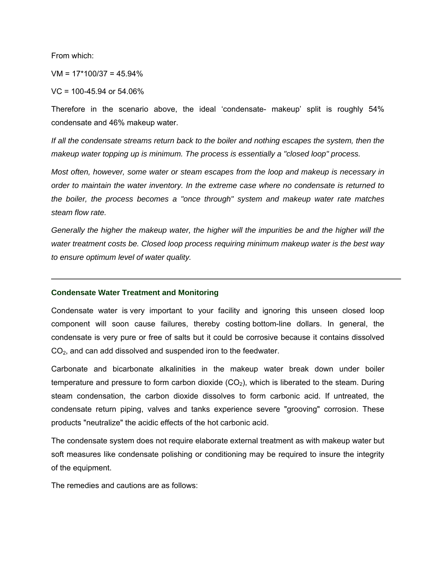From which:

 $VM = 17*100/37 = 45.94\%$ 

VC = 100-45.94 or 54.06%

Therefore in the scenario above, the ideal 'condensate- makeup' split is roughly 54% condensate and 46% makeup water.

*If all the condensate streams return back to the boiler and nothing escapes the system, then the makeup water topping up is minimum. The process is essentially a "closed loop" process.* 

*Most often, however, some water or steam escapes from the loop and makeup is necessary in order to maintain the water inventory. In the extreme case where no condensate is returned to the boiler, the process becomes a "once through" system and makeup water rate matches steam flow rate.* 

*Generally the higher the makeup water, the higher will the impurities be and the higher will the water treatment costs be. Closed loop process requiring minimum makeup water is the best way to ensure optimum level of water quality.* 

#### **Condensate Water Treatment and Monitoring**

Condensate water is very important to your facility and ignoring this unseen closed loop component will soon cause failures, thereby costing bottom-line dollars. In general, the condensate is very pure or free of salts but it could be corrosive because it contains dissolved CO<sub>2</sub>, and can add dissolved and suspended iron to the feedwater.

Carbonate and bicarbonate alkalinities in the makeup water break down under boiler temperature and pressure to form carbon dioxide  $(CO<sub>2</sub>)$ , which is liberated to the steam. During steam condensation, the carbon dioxide dissolves to form carbonic acid. If untreated, the condensate return piping, valves and tanks experience severe "grooving" corrosion. These products "neutralize" the acidic effects of the hot carbonic acid.

The condensate system does not require elaborate external treatment as with makeup water but soft measures like condensate polishing or conditioning may be required to insure the integrity of the equipment.

The remedies and cautions are as follows: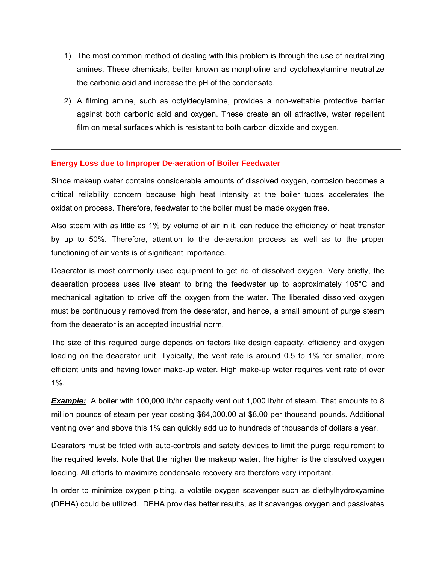- 1) The most common method of dealing with this problem is through the use of neutralizing amines. These chemicals, better known as morpholine and cyclohexylamine neutralize the carbonic acid and increase the pH of the condensate.
- 2) A filming amine, such as octyldecylamine, provides a non-wettable protective barrier against both carbonic acid and oxygen. These create an oil attractive, water repellent film on metal surfaces which is resistant to both carbon dioxide and oxygen.

# **Energy Loss due to Improper De-aeration of Boiler Feedwater**

Since makeup water contains considerable amounts of dissolved oxygen, corrosion becomes a critical reliability concern because high heat intensity at the boiler tubes accelerates the oxidation process. Therefore, feedwater to the boiler must be made oxygen free.

Also steam with as little as 1% by volume of air in it, can reduce the efficiency of heat transfer by up to 50%. Therefore, attention to the de-aeration process as well as to the proper functioning of air vents is of significant importance.

Deaerator is most commonly used equipment to get rid of dissolved oxygen. Very briefly, the deaeration process uses live steam to bring the feedwater up to approximately 105°C and mechanical agitation to drive off the oxygen from the water. The liberated dissolved oxygen must be continuously removed from the deaerator, and hence, a small amount of purge steam from the deaerator is an accepted industrial norm.

The size of this required purge depends on factors like design capacity, efficiency and oxygen loading on the deaerator unit. Typically, the vent rate is around 0.5 to 1% for smaller, more efficient units and having lower make-up water. High make-up water requires vent rate of over 1%.

**Example:** A boiler with 100,000 lb/hr capacity vent out 1,000 lb/hr of steam. That amounts to 8 million pounds of steam per year costing \$64,000.00 at \$8.00 per thousand pounds. Additional venting over and above this 1% can quickly add up to hundreds of thousands of dollars a year.

Dearators must be fitted with auto-controls and safety devices to limit the purge requirement to the required levels. Note that the higher the makeup water, the higher is the dissolved oxygen loading. All efforts to maximize condensate recovery are therefore very important.

In order to minimize oxygen pitting, a volatile oxygen scavenger such as diethylhydroxyamine (DEHA) could be utilized. DEHA provides better results, as it scavenges oxygen and passivates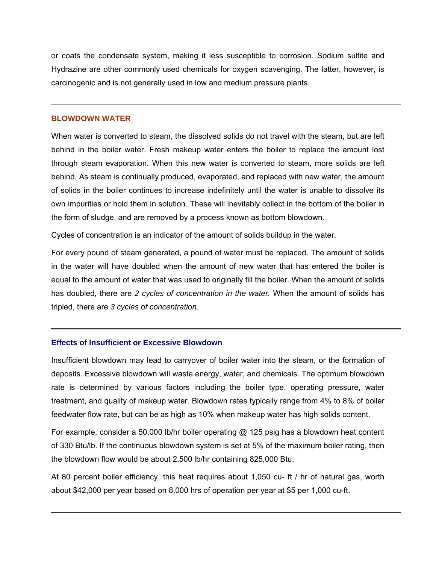or coats the condensate system, making it less susceptible to corrosion. Sodium sulfite and Hydrazine are other commonly used chemicals for oxygen scavenging. The latter, however, is carcinogenic and is not generally used in low and medium pressure plants.

#### **BLOWDOWN WATER**

When water is converted to steam, the dissolved solids do not travel with the steam, but are left behind in the boiler water. Fresh makeup water enters the boiler to replace the amount lost through steam evaporation. When this new water is converted to steam, more solids are left behind. As steam is continually produced, evaporated, and replaced with new water, the amount of solids in the boiler continues to increase indefinitely until the water is unable to dissolve its own impurities or hold them in solution. These will inevitably collect in the bottom of the boiler in the form of sludge, and are removed by a process known as bottom blowdown.

Cycles of concentration is an indicator of the amount of solids buildup in the water.

For every pound of steam generated, a pound of water must be replaced. The amount of solids in the water will have doubled when the amount of new water that has entered the boiler is equal to the amount of water that was used to originally fill the boiler. When the amount of solids has doubled, there are *2 cycles of concentration in the water.* When the amount of solids has tripled, there are *3 cycles of concentration*.

#### **Effects of Insufficient or Excessive Blowdown**

Insufficient blowdown may lead to carryover of boiler water into the steam, or the formation of deposits. Excessive blowdown will waste energy, water, and chemicals. The optimum blowdown rate is determined by various factors including the boiler type, operating pressure, water treatment, and quality of makeup water. Blowdown rates typically range from 4% to 8% of boiler feedwater flow rate, but can be as high as 10% when makeup water has high solids content.

For example, consider a 50,000 lb/hr boiler operating @ 125 psig has a blowdown heat content of 330 Btu/lb. If the continuous blowdown system is set at 5% of the maximum boiler rating, then the blowdown flow would be about 2,500 lb/hr containing 825,000 Btu.

At 80 percent boiler efficiency, this heat requires about 1,050 cu- ft / hr of natural gas, worth about \$42,000 per year based on 8,000 hrs of operation per year at \$5 per 1,000 cu-ft.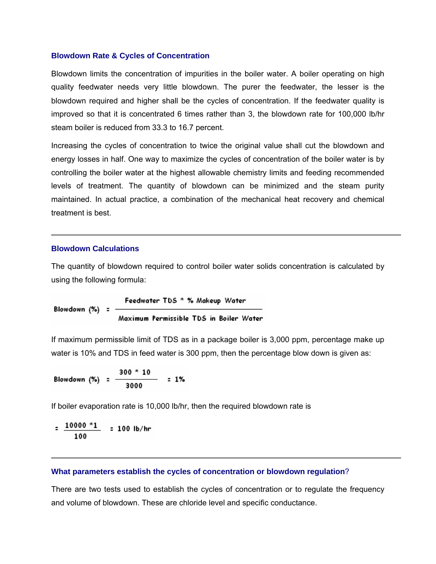#### **Blowdown Rate & Cycles of Concentration**

Blowdown limits the concentration of impurities in the boiler water. A boiler operating on high quality feedwater needs very little blowdown. The purer the feedwater, the lesser is the blowdown required and higher shall be the cycles of concentration. If the feedwater quality is improved so that it is concentrated 6 times rather than 3, the blowdown rate for 100,000 lb/hr steam boiler is reduced from 33.3 to 16.7 percent.

Increasing the cycles of concentration to twice the original value shall cut the blowdown and energy losses in half. One way to maximize the cycles of concentration of the boiler water is by controlling the boiler water at the highest allowable chemistry limits and feeding recommended levels of treatment. The quantity of blowdown can be minimized and the steam purity maintained. In actual practice, a combination of the mechanical heat recovery and chemical treatment is best.

#### **Blowdown Calculations**

The quantity of blowdown required to control boiler water solids concentration is calculated by using the following formula:

Feedwater TDS \* % Makeup Water Blowdown (%) = -Maximum Permissible TDS in Boiler Water

If maximum permissible limit of TDS as in a package boiler is 3,000 ppm, percentage make up water is 10% and TDS in feed water is 300 ppm, then the percentage blow down is given as:

Blowdown (%) = 
$$
\frac{300 \times 10}{3000}
$$
 = 1%

If boiler evaporation rate is 10,000 lb/hr, then the required blowdown rate is

$$
=\frac{10000*1}{100} = 100 \text{ lb/hr}
$$

#### **What parameters establish the cycles of concentration or blowdown regulation**?

There are two tests used to establish the cycles of concentration or to regulate the frequency and volume of blowdown. These are chloride level and specific conductance.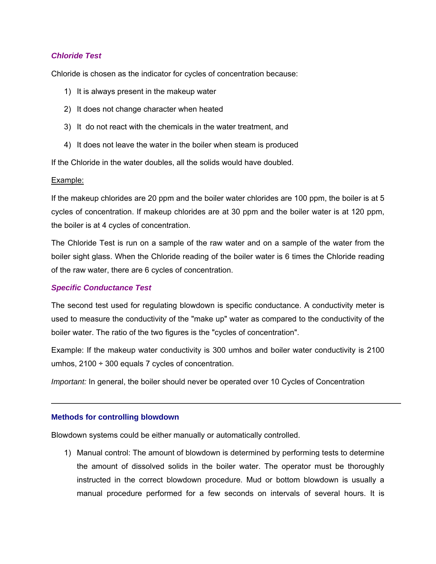# *Chloride Test*

Chloride is chosen as the indicator for cycles of concentration because:

- 1) It is always present in the makeup water
- 2) It does not change character when heated
- 3) It do not react with the chemicals in the water treatment, and
- 4) It does not leave the water in the boiler when steam is produced

If the Chloride in the water doubles, all the solids would have doubled.

#### Example:

If the makeup chlorides are 20 ppm and the boiler water chlorides are 100 ppm, the boiler is at 5 cycles of concentration. If makeup chlorides are at 30 ppm and the boiler water is at 120 ppm, the boiler is at 4 cycles of concentration.

The Chloride Test is run on a sample of the raw water and on a sample of the water from the boiler sight glass. When the Chloride reading of the boiler water is 6 times the Chloride reading of the raw water, there are 6 cycles of concentration.

# *Specific Conductance Test*

The second test used for regulating blowdown is specific conductance. A conductivity meter is used to measure the conductivity of the "make up" water as compared to the conductivity of the boiler water. The ratio of the two figures is the "cycles of concentration".

Example: If the makeup water conductivity is 300 umhos and boiler water conductivity is 2100 umhos,  $2100 \div 300$  equals 7 cycles of concentration.

*Important:* In general, the boiler should never be operated over 10 Cycles of Concentration

#### **Methods for controlling blowdown**

Blowdown systems could be either manually or automatically controlled.

1) Manual control: The amount of blowdown is determined by performing tests to determine the amount of dissolved solids in the boiler water. The operator must be thoroughly instructed in the correct blowdown procedure. Mud or bottom blowdown is usually a manual procedure performed for a few seconds on intervals of several hours. It is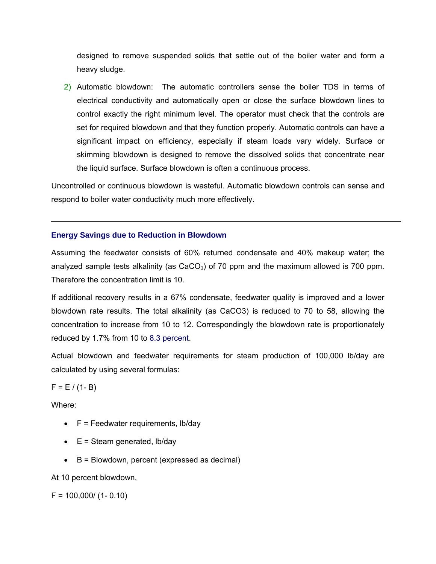designed to remove suspended solids that settle out of the boiler water and form a heavy sludge.

2) Automatic blowdown: The automatic controllers sense the boiler TDS in terms of electrical conductivity and automatically open or close the surface blowdown lines to control exactly the right minimum level. The operator must check that the controls are set for required blowdown and that they function properly. Automatic controls can have a significant impact on efficiency, especially if steam loads vary widely. Surface or skimming blowdown is designed to remove the dissolved solids that concentrate near the liquid surface. Surface blowdown is often a continuous process.

Uncontrolled or continuous blowdown is wasteful. Automatic blowdown controls can sense and respond to boiler water conductivity much more effectively.

# **Energy Savings due to Reduction in Blowdown**

Assuming the feedwater consists of 60% returned condensate and 40% makeup water; the analyzed sample tests alkalinity (as  $CaCO<sub>3</sub>$ ) of 70 ppm and the maximum allowed is 700 ppm. Therefore the concentration limit is 10.

If additional recovery results in a 67% condensate, feedwater quality is improved and a lower blowdown rate results. The total alkalinity (as CaCO3) is reduced to 70 to 58, allowing the concentration to increase from 10 to 12. Correspondingly the blowdown rate is proportionately reduced by 1.7% from 10 to 8.3 percent.

Actual blowdown and feedwater requirements for steam production of 100,000 lb/day are calculated by using several formulas:

 $F = E / (1 - B)$ 

Where:

- $\bullet$   $F$  = Feedwater requirements, lb/day
- $\bullet$  E = Steam generated, lb/day
- $\bullet$  B = Blowdown, percent (expressed as decimal)

At 10 percent blowdown,

 $F = 100,000/ (1 - 0.10)$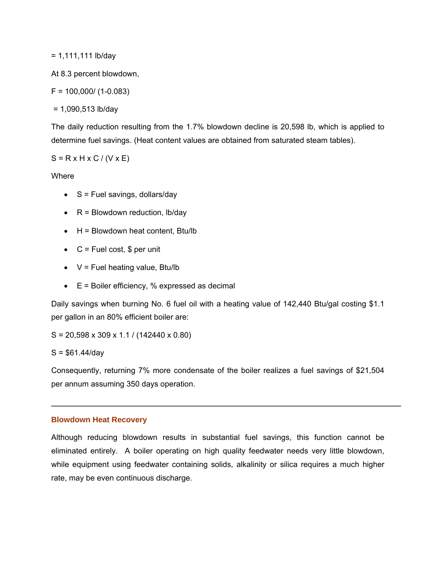$= 1,111,111$  lb/day

At 8.3 percent blowdown,

 $F = 100,000/ (1-0.083)$ 

= 1,090,513 lb/day

The daily reduction resulting from the 1.7% blowdown decline is 20,598 lb, which is applied to determine fuel savings. (Heat content values are obtained from saturated steam tables).

 $S = R \times H \times C / (V \times E)$ 

Where

- $\bullet$  S = Fuel savings, dollars/day
- $R =$  Blowdown reduction, lb/day
- $\bullet$  H = Blowdown heat content, Btu/lb
- $C =$  Fuel cost, \$ per unit
- $V =$  Fuel heating value, Btu/lb
- $\bullet$  E = Boiler efficiency, % expressed as decimal

Daily savings when burning No. 6 fuel oil with a heating value of 142,440 Btu/gal costing \$1.1 per gallon in an 80% efficient boiler are:

S = 20,598 x 309 x 1.1 / (142440 x 0.80)

#### $S = $61.44/day$

Consequently, returning 7% more condensate of the boiler realizes a fuel savings of \$21,504 per annum assuming 350 days operation.

#### **Blowdown Heat Recovery**

Although reducing blowdown results in substantial fuel savings, this function cannot be eliminated entirely. A boiler operating on high quality feedwater needs very little blowdown, while equipment using feedwater containing solids, alkalinity or silica requires a much higher rate, may be even continuous discharge.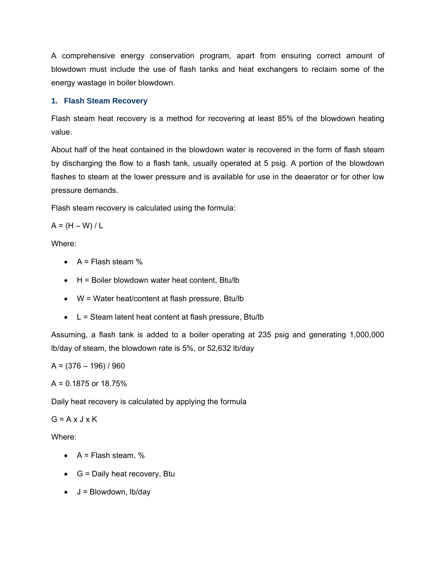A comprehensive energy conservation program, apart from ensuring correct amount of blowdown must include the use of flash tanks and heat exchangers to reclaim some of the energy wastage in boiler blowdown.

# **1. Flash Steam Recovery**

Flash steam heat recovery is a method for recovering at least 85% of the blowdown heating value.

About half of the heat contained in the blowdown water is recovered in the form of flash steam by discharging the flow to a flash tank, usually operated at 5 psig. A portion of the blowdown flashes to steam at the lower pressure and is available for use in the deaerator or for other low pressure demands.

Flash steam recovery is calculated using the formula:

 $A = (H - W)/L$ 

Where:

- $A =$  Flash steam  $%$
- H = Boiler blowdown water heat content, Btu/lb
- W = Water heat/content at flash pressure, Btu/lb
- L = Steam latent heat content at flash pressure, Btu/lb

Assuming, a flash tank is added to a boiler operating at 235 psig and generating 1,000,000 lb/day of steam, the blowdown rate is 5%, or 52,632 lb/day

 $A = (376 - 196) / 960$ 

A = 0.1875 or 18.75%

Daily heat recovery is calculated by applying the formula

 $G = A x J x K$ 

Where:

- $\bullet$  A = Flash steam, %
- G = Daily heat recovery, Btu
- $\bullet$  J = Blowdown, lb/day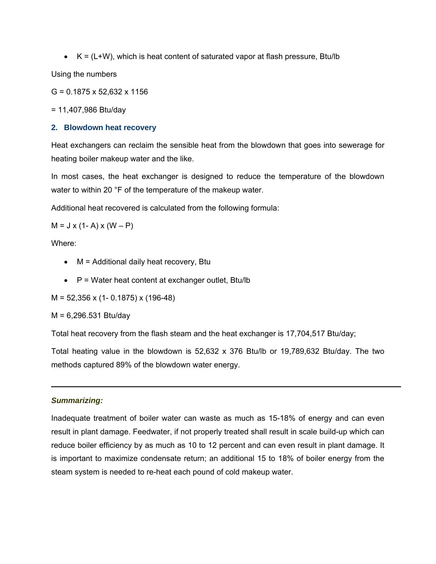$\bullet$  K = (L+W), which is heat content of saturated vapor at flash pressure, Btu/lb

Using the numbers

G = 0.1875 x 52,632 x 1156

= 11,407,986 Btu/day

# **2. Blowdown heat recovery**

Heat exchangers can reclaim the sensible heat from the blowdown that goes into sewerage for heating boiler makeup water and the like.

In most cases, the heat exchanger is designed to reduce the temperature of the blowdown water to within 20 °F of the temperature of the makeup water.

Additional heat recovered is calculated from the following formula:

 $M = J x (1 - A) x (W - P)$ 

Where:

- M = Additional daily heat recovery, Btu
- $\bullet$   $\vdash$  P = Water heat content at exchanger outlet, Btu/lb

M = 52,356 x (1- 0.1875) x (196-48)

M = 6,296.531 Btu/day

Total heat recovery from the flash steam and the heat exchanger is 17,704,517 Btu/day;

Total heating value in the blowdown is 52,632 x 376 Btu/lb or 19,789,632 Btu/day. The two methods captured 89% of the blowdown water energy.

# *Summarizing:*

Inadequate treatment of boiler water can waste as much as 15-18% of energy and can even result in plant damage. Feedwater, if not properly treated shall result in scale build-up which can reduce boiler efficiency by as much as 10 to 12 percent and can even result in plant damage. It is important to maximize condensate return; an additional 15 to 18% of boiler energy from the steam system is needed to re-heat each pound of cold makeup water.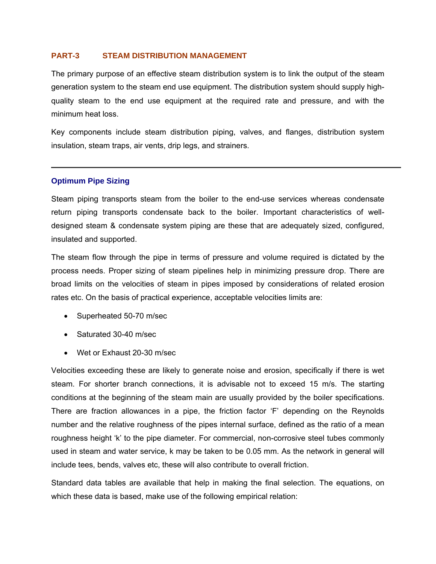# **PART-3 STEAM DISTRIBUTION MANAGEMENT**

The primary purpose of an effective steam distribution system is to link the output of the steam generation system to the steam end use equipment. The distribution system should supply highquality steam to the end use equipment at the required rate and pressure, and with the minimum heat loss.

Key components include steam distribution piping, valves, and flanges, distribution system insulation, steam traps, air vents, drip legs, and strainers.

#### **Optimum Pipe Sizing**

Steam piping transports steam from the boiler to the end-use services whereas condensate return piping transports condensate back to the boiler. Important characteristics of welldesigned steam & condensate system piping are these that are adequately sized, configured, insulated and supported.

The steam flow through the pipe in terms of pressure and volume required is dictated by the process needs. Proper sizing of steam pipelines help in minimizing pressure drop. There are broad limits on the velocities of steam in pipes imposed by considerations of related erosion rates etc. On the basis of practical experience, acceptable velocities limits are:

- Superheated 50-70 m/sec
- Saturated 30-40 m/sec
- Wet or Exhaust 20-30 m/sec

Velocities exceeding these are likely to generate noise and erosion, specifically if there is wet steam. For shorter branch connections, it is advisable not to exceed 15 m/s. The starting conditions at the beginning of the steam main are usually provided by the boiler specifications. There are fraction allowances in a pipe, the friction factor 'F' depending on the Reynolds number and the relative roughness of the pipes internal surface, defined as the ratio of a mean roughness height 'k' to the pipe diameter. For commercial, non-corrosive steel tubes commonly used in steam and water service, k may be taken to be 0.05 mm. As the network in general will include tees, bends, valves etc, these will also contribute to overall friction.

Standard data tables are available that help in making the final selection. The equations, on which these data is based, make use of the following empirical relation: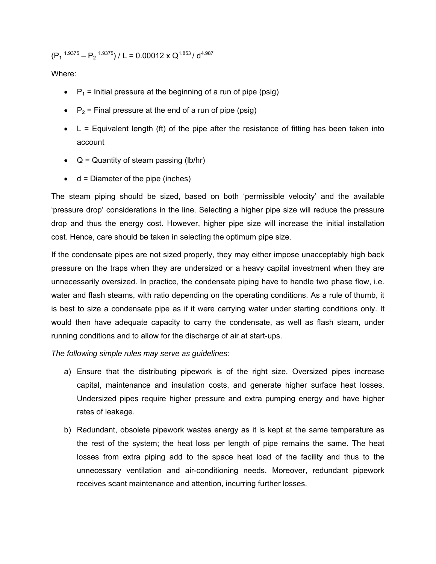$(P_1^{1.9375} - P_2^{1.9375})$  / L = 0.00012 x Q<sup>1.853</sup>/ d<sup>4.987</sup>

# Where:

- $P_1$  = Initial pressure at the beginning of a run of pipe (psig)
- $P_2$  = Final pressure at the end of a run of pipe (psig)
- $\bullet$  L = Equivalent length (ft) of the pipe after the resistance of fitting has been taken into account
- $Q =$  Quantity of steam passing (lb/hr)
- $\bullet$  d = Diameter of the pipe (inches)

The steam piping should be sized, based on both 'permissible velocity' and the available 'pressure drop' considerations in the line. Selecting a higher pipe size will reduce the pressure drop and thus the energy cost. However, higher pipe size will increase the initial installation cost. Hence, care should be taken in selecting the optimum pipe size.

If the condensate pipes are not sized properly, they may either impose unacceptably high back pressure on the traps when they are undersized or a heavy capital investment when they are unnecessarily oversized. In practice, the condensate piping have to handle two phase flow, i.e. water and flash steams, with ratio depending on the operating conditions. As a rule of thumb, it is best to size a condensate pipe as if it were carrying water under starting conditions only. It would then have adequate capacity to carry the condensate, as well as flash steam, under running conditions and to allow for the discharge of air at start-ups.

*The following simple rules may serve as guidelines:* 

- a) Ensure that the distributing pipework is of the right size. Oversized pipes increase capital, maintenance and insulation costs, and generate higher surface heat losses. Undersized pipes require higher pressure and extra pumping energy and have higher rates of leakage.
- b) Redundant, obsolete pipework wastes energy as it is kept at the same temperature as the rest of the system; the heat loss per length of pipe remains the same. The heat losses from extra piping add to the space heat load of the facility and thus to the unnecessary ventilation and air-conditioning needs. Moreover, redundant pipework receives scant maintenance and attention, incurring further losses.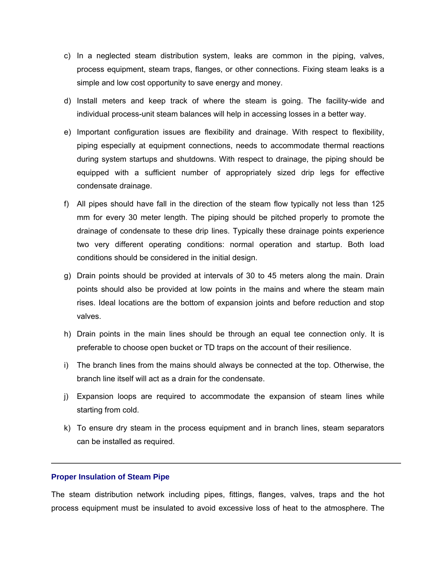- c) In a neglected steam distribution system, leaks are common in the piping, valves, process equipment, steam traps, flanges, or other connections. Fixing steam leaks is a simple and low cost opportunity to save energy and money.
- d) Install meters and keep track of where the steam is going. The facility-wide and individual process-unit steam balances will help in accessing losses in a better way.
- e) Important configuration issues are flexibility and drainage. With respect to flexibility, piping especially at equipment connections, needs to accommodate thermal reactions during system startups and shutdowns. With respect to drainage, the piping should be equipped with a sufficient number of appropriately sized drip legs for effective condensate drainage.
- f) All pipes should have fall in the direction of the steam flow typically not less than 125 mm for every 30 meter length. The piping should be pitched properly to promote the drainage of condensate to these drip lines. Typically these drainage points experience two very different operating conditions: normal operation and startup. Both load conditions should be considered in the initial design.
- g) Drain points should be provided at intervals of 30 to 45 meters along the main. Drain points should also be provided at low points in the mains and where the steam main rises. Ideal locations are the bottom of expansion joints and before reduction and stop valves.
- h) Drain points in the main lines should be through an equal tee connection only. It is preferable to choose open bucket or TD traps on the account of their resilience.
- i) The branch lines from the mains should always be connected at the top. Otherwise, the branch line itself will act as a drain for the condensate.
- j) Expansion loops are required to accommodate the expansion of steam lines while starting from cold.
- k) To ensure dry steam in the process equipment and in branch lines, steam separators can be installed as required.

#### **Proper Insulation of Steam Pipe**

The steam distribution network including pipes, fittings, flanges, valves, traps and the hot process equipment must be insulated to avoid excessive loss of heat to the atmosphere. The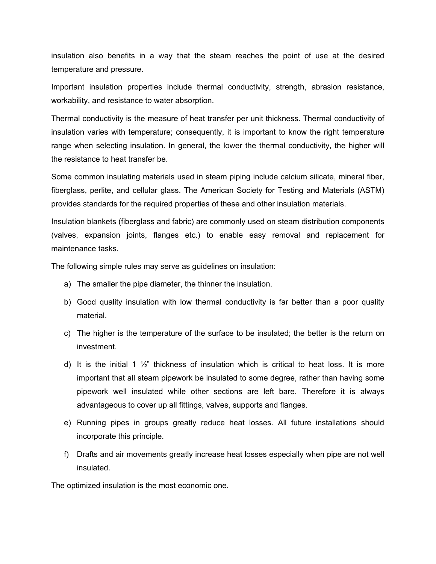insulation also benefits in a way that the steam reaches the point of use at the desired temperature and pressure.

Important insulation properties include thermal conductivity, strength, abrasion resistance, workability, and resistance to water absorption.

Thermal conductivity is the measure of heat transfer per unit thickness. Thermal conductivity of insulation varies with temperature; consequently, it is important to know the right temperature range when selecting insulation. In general, the lower the thermal conductivity, the higher will the resistance to heat transfer be.

Some common insulating materials used in steam piping include calcium silicate, mineral fiber, fiberglass, perlite, and cellular glass. The American Society for Testing and Materials (ASTM) provides standards for the required properties of these and other insulation materials.

Insulation blankets (fiberglass and fabric) are commonly used on steam distribution components (valves, expansion joints, flanges etc.) to enable easy removal and replacement for maintenance tasks.

The following simple rules may serve as guidelines on insulation:

- a) The smaller the pipe diameter, the thinner the insulation.
- b) Good quality insulation with low thermal conductivity is far better than a poor quality material.
- c) The higher is the temperature of the surface to be insulated; the better is the return on investment.
- d) It is the initial 1  $\frac{1}{2}$ " thickness of insulation which is critical to heat loss. It is more important that all steam pipework be insulated to some degree, rather than having some pipework well insulated while other sections are left bare. Therefore it is always advantageous to cover up all fittings, valves, supports and flanges.
- e) Running pipes in groups greatly reduce heat losses. All future installations should incorporate this principle.
- f) Drafts and air movements greatly increase heat losses especially when pipe are not well insulated.

The optimized insulation is the most economic one.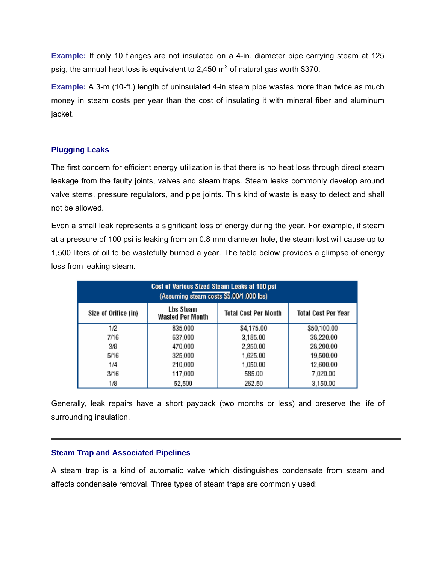**Example:** If only 10 flanges are not insulated on a 4-in. diameter pipe carrying steam at 125 psig, the annual heat loss is equivalent to 2,450  $m^3$  of natural gas worth \$370.

**Example:** A 3-m (10-ft.) length of uninsulated 4-in steam pipe wastes more than twice as much money in steam costs per year than the cost of insulating it with mineral fiber and aluminum jacket.

# **Plugging Leaks**

The first concern for efficient energy utilization is that there is no heat loss through direct steam leakage from the faulty joints, valves and steam traps. Steam leaks commonly develop around valve stems, pressure regulators, and pipe joints. This kind of waste is easy to detect and shall not be allowed.

Even a small leak represents a significant loss of energy during the year. For example, if steam at a pressure of 100 psi is leaking from an 0.8 mm diameter hole, the steam lost will cause up to 1,500 liters of oil to be wastefully burned a year. The table below provides a glimpse of energy loss from leaking steam.

| Cost of Various Sized Steam Leaks at 100 psi<br>(Assuming steam costs \$5.00/1,000 lbs)                            |         |            |             |  |  |  |  |
|--------------------------------------------------------------------------------------------------------------------|---------|------------|-------------|--|--|--|--|
| Lbs Steam<br><b>Total Cost Per Month</b><br><b>Total Cost Per Year</b><br>Size of Orifice (in)<br>Wasted Per Month |         |            |             |  |  |  |  |
| 1/2                                                                                                                | 835,000 | \$4,175.00 | \$50,100.00 |  |  |  |  |
| 7/16                                                                                                               | 637,000 | 3,185.00   | 38,220.00   |  |  |  |  |
| 3/8                                                                                                                | 470,000 | 2,350.00   | 28,200.00   |  |  |  |  |
| 5/16                                                                                                               | 325,000 | 1.625.00   | 19,500.00   |  |  |  |  |
| 1/4                                                                                                                | 210,000 | 1.050.00   | 12,600.00   |  |  |  |  |
| 3/16                                                                                                               | 117,000 | 585.00     | 7.020.00    |  |  |  |  |
| 1/8                                                                                                                | 52,500  | 262.50     | 3,150.00    |  |  |  |  |

Generally, leak repairs have a short payback (two months or less) and preserve the life of surrounding insulation.

# **Steam Trap and Associated Pipelines**

A steam trap is a kind of automatic valve which distinguishes condensate from steam and affects condensate removal. Three types of steam traps are commonly used: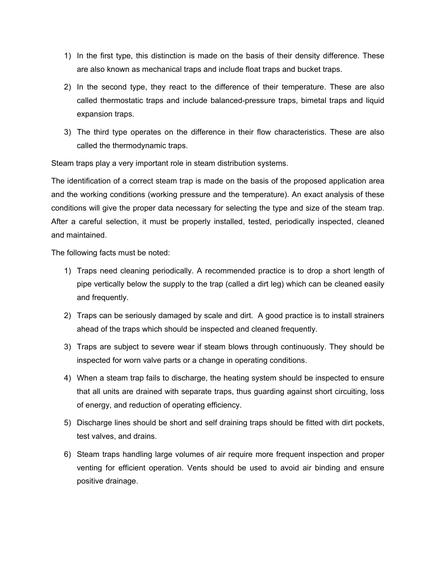- 1) In the first type, this distinction is made on the basis of their density difference. These are also known as mechanical traps and include float traps and bucket traps.
- 2) In the second type, they react to the difference of their temperature. These are also called thermostatic traps and include balanced-pressure traps, bimetal traps and liquid expansion traps.
- 3) The third type operates on the difference in their flow characteristics. These are also called the thermodynamic traps.

Steam traps play a very important role in steam distribution systems.

The identification of a correct steam trap is made on the basis of the proposed application area and the working conditions (working pressure and the temperature). An exact analysis of these conditions will give the proper data necessary for selecting the type and size of the steam trap. After a careful selection, it must be properly installed, tested, periodically inspected, cleaned and maintained.

The following facts must be noted:

- 1) Traps need cleaning periodically. A recommended practice is to drop a short length of pipe vertically below the supply to the trap (called a dirt leg) which can be cleaned easily and frequently.
- 2) Traps can be seriously damaged by scale and dirt. A good practice is to install strainers ahead of the traps which should be inspected and cleaned frequently.
- 3) Traps are subject to severe wear if steam blows through continuously. They should be inspected for worn valve parts or a change in operating conditions.
- 4) When a steam trap fails to discharge, the heating system should be inspected to ensure that all units are drained with separate traps, thus guarding against short circuiting, loss of energy, and reduction of operating efficiency.
- 5) Discharge lines should be short and self draining traps should be fitted with dirt pockets, test valves, and drains.
- 6) Steam traps handling large volumes of air require more frequent inspection and proper venting for efficient operation. Vents should be used to avoid air binding and ensure positive drainage.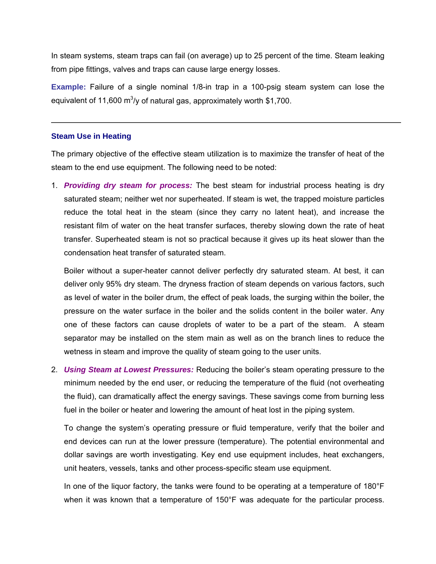In steam systems, steam traps can fail (on average) up to 25 percent of the time. Steam leaking from pipe fittings, valves and traps can cause large energy losses.

**Example:** Failure of a single nominal 1/8-in trap in a 100-psig steam system can lose the equivalent of 11,600  $\mathrm{m}^3$ /y of natural gas, approximately worth \$1,700.

#### **Steam Use in Heating**

The primary objective of the effective steam utilization is to maximize the transfer of heat of the steam to the end use equipment. The following need to be noted:

1. *Providing dry steam for process:* The best steam for industrial process heating is dry saturated steam; neither wet nor superheated. If steam is wet, the trapped moisture particles reduce the total heat in the steam (since they carry no latent heat), and increase the resistant film of water on the heat transfer surfaces, thereby slowing down the rate of heat transfer. Superheated steam is not so practical because it gives up its heat slower than the condensation heat transfer of saturated steam.

Boiler without a super-heater cannot deliver perfectly dry saturated steam. At best, it can deliver only 95% dry steam. The dryness fraction of steam depends on various factors, such as level of water in the boiler drum, the effect of peak loads, the surging within the boiler, the pressure on the water surface in the boiler and the solids content in the boiler water. Any one of these factors can cause droplets of water to be a part of the steam. A steam separator may be installed on the stem main as well as on the branch lines to reduce the wetness in steam and improve the quality of steam going to the user units.

2. *Using Steam at Lowest Pressures:* Reducing the boiler's steam operating pressure to the minimum needed by the end user, or reducing the temperature of the fluid (not overheating the fluid), can dramatically affect the energy savings. These savings come from burning less fuel in the boiler or heater and lowering the amount of heat lost in the piping system.

To change the system's operating pressure or fluid temperature, verify that the boiler and end devices can run at the lower pressure (temperature). The potential environmental and dollar savings are worth investigating. Key end use equipment includes, heat exchangers, unit heaters, vessels, tanks and other process-specific steam use equipment.

In one of the liquor factory, the tanks were found to be operating at a temperature of 180°F when it was known that a temperature of 150°F was adequate for the particular process.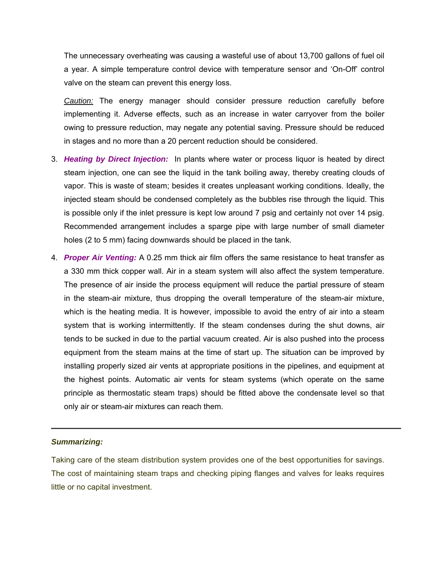The unnecessary overheating was causing a wasteful use of about 13,700 gallons of fuel oil a year. A simple temperature control device with temperature sensor and 'On-Off' control valve on the steam can prevent this energy loss.

*Caution:* The energy manager should consider pressure reduction carefully before implementing it. Adverse effects, such as an increase in water carryover from the boiler owing to pressure reduction, may negate any potential saving. Pressure should be reduced in stages and no more than a 20 percent reduction should be considered.

- 3. *Heating by Direct Injection:* In plants where water or process liquor is heated by direct steam injection, one can see the liquid in the tank boiling away, thereby creating clouds of vapor. This is waste of steam; besides it creates unpleasant working conditions. Ideally, the injected steam should be condensed completely as the bubbles rise through the liquid. This is possible only if the inlet pressure is kept low around 7 psig and certainly not over 14 psig. Recommended arrangement includes a sparge pipe with large number of small diameter holes (2 to 5 mm) facing downwards should be placed in the tank.
- 4. *Proper Air Venting:* A 0.25 mm thick air film offers the same resistance to heat transfer as a 330 mm thick copper wall. Air in a steam system will also affect the system temperature. The presence of air inside the process equipment will reduce the partial pressure of steam in the steam-air mixture, thus dropping the overall temperature of the steam-air mixture, which is the heating media. It is however, impossible to avoid the entry of air into a steam system that is working intermittently. If the steam condenses during the shut downs, air tends to be sucked in due to the partial vacuum created. Air is also pushed into the process equipment from the steam mains at the time of start up. The situation can be improved by installing properly sized air vents at appropriate positions in the pipelines, and equipment at the highest points. Automatic air vents for steam systems (which operate on the same principle as thermostatic steam traps) should be fitted above the condensate level so that only air or steam-air mixtures can reach them.

# *Summarizing:*

Taking care of the steam distribution system provides one of the best opportunities for savings. The cost of maintaining steam traps and checking piping flanges and valves for leaks requires little or no capital investment.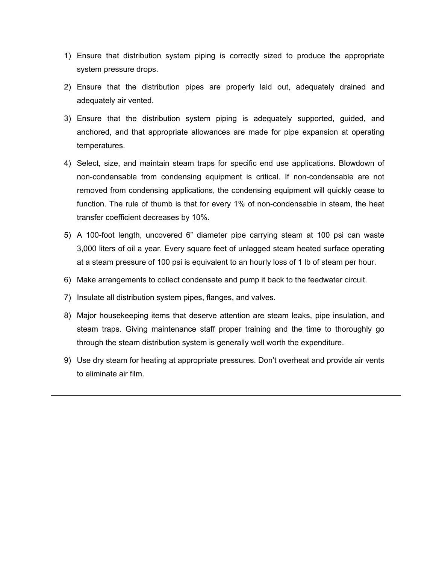- 1) Ensure that distribution system piping is correctly sized to produce the appropriate system pressure drops.
- 2) Ensure that the distribution pipes are properly laid out, adequately drained and adequately air vented.
- 3) Ensure that the distribution system piping is adequately supported, guided, and anchored, and that appropriate allowances are made for pipe expansion at operating temperatures.
- 4) Select, size, and maintain steam traps for specific end use applications. Blowdown of non-condensable from condensing equipment is critical. If non-condensable are not removed from condensing applications, the condensing equipment will quickly cease to function. The rule of thumb is that for every 1% of non-condensable in steam, the heat transfer coefficient decreases by 10%.
- 5) A 100-foot length, uncovered 6" diameter pipe carrying steam at 100 psi can waste 3,000 liters of oil a year. Every square feet of unlagged steam heated surface operating at a steam pressure of 100 psi is equivalent to an hourly loss of 1 lb of steam per hour.
- 6) Make arrangements to collect condensate and pump it back to the feedwater circuit.
- 7) Insulate all distribution system pipes, flanges, and valves.
- 8) Major housekeeping items that deserve attention are steam leaks, pipe insulation, and steam traps. Giving maintenance staff proper training and the time to thoroughly go through the steam distribution system is generally well worth the expenditure.
- 9) Use dry steam for heating at appropriate pressures. Don't overheat and provide air vents to eliminate air film.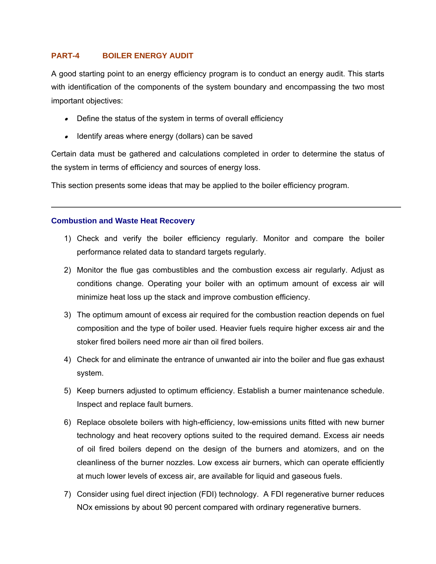# **PART-4 BOILER ENERGY AUDIT**

A good starting point to an energy efficiency program is to conduct an energy audit. This starts with identification of the components of the system boundary and encompassing the two most important objectives:

- Define the status of the system in terms of overall efficiency
- Identify areas where energy (dollars) can be saved

Certain data must be gathered and calculations completed in order to determine the status of the system in terms of efficiency and sources of energy loss.

This section presents some ideas that may be applied to the boiler efficiency program.

# **Combustion and Waste Heat Recovery**

- 1) Check and verify the boiler efficiency regularly. Monitor and compare the boiler performance related data to standard targets regularly.
- 2) Monitor the flue gas combustibles and the combustion excess air regularly. Adjust as conditions change. Operating your boiler with an optimum amount of excess air will minimize heat loss up the stack and improve combustion efficiency.
- 3) The optimum amount of excess air required for the combustion reaction depends on fuel composition and the type of boiler used. Heavier fuels require higher excess air and the stoker fired boilers need more air than oil fired boilers.
- 4) Check for and eliminate the entrance of unwanted air into the boiler and flue gas exhaust system.
- 5) Keep burners adjusted to optimum efficiency. Establish a burner maintenance schedule. Inspect and replace fault burners.
- 6) Replace obsolete boilers with high-efficiency, low-emissions units fitted with new burner technology and heat recovery options suited to the required demand. Excess air needs of oil fired boilers depend on the design of the burners and atomizers, and on the cleanliness of the burner nozzles. Low excess air burners, which can operate efficiently at much lower levels of excess air, are available for liquid and gaseous fuels.
- 7) Consider using fuel direct injection (FDI) technology. A FDI regenerative burner reduces NOx emissions by about 90 percent compared with ordinary regenerative burners.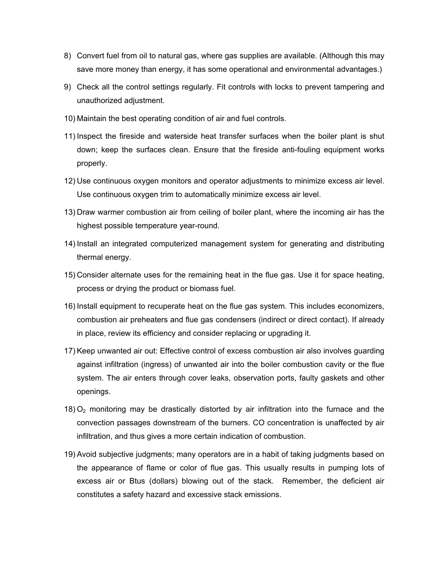- 8) Convert fuel from oil to natural gas, where gas supplies are available. (Although this may save more money than energy, it has some operational and environmental advantages.)
- 9) Check all the control settings regularly. Fit controls with locks to prevent tampering and unauthorized adjustment.
- 10) Maintain the best operating condition of air and fuel controls.
- 11) Inspect the fireside and waterside heat transfer surfaces when the boiler plant is shut down; keep the surfaces clean. Ensure that the fireside anti-fouling equipment works properly.
- 12) Use continuous oxygen monitors and operator adjustments to minimize excess air level. Use continuous oxygen trim to automatically minimize excess air level.
- 13) Draw warmer combustion air from ceiling of boiler plant, where the incoming air has the highest possible temperature year-round.
- 14) Install an integrated computerized management system for generating and distributing thermal energy.
- 15) Consider alternate uses for the remaining heat in the flue gas. Use it for space heating, process or drying the product or biomass fuel.
- 16) Install equipment to recuperate heat on the flue gas system. This includes economizers, combustion air preheaters and flue gas condensers (indirect or direct contact). If already in place, review its efficiency and consider replacing or upgrading it.
- 17) Keep unwanted air out: Effective control of excess combustion air also involves guarding against infiltration (ingress) of unwanted air into the boiler combustion cavity or the flue system. The air enters through cover leaks, observation ports, faulty gaskets and other openings.
- 18)  $O<sub>2</sub>$  monitoring may be drastically distorted by air infiltration into the furnace and the convection passages downstream of the burners. CO concentration is unaffected by air infiltration, and thus gives a more certain indication of combustion.
- 19) Avoid subjective judgments; many operators are in a habit of taking judgments based on the appearance of flame or color of flue gas. This usually results in pumping lots of excess air or Btus (dollars) blowing out of the stack. Remember, the deficient air constitutes a safety hazard and excessive stack emissions.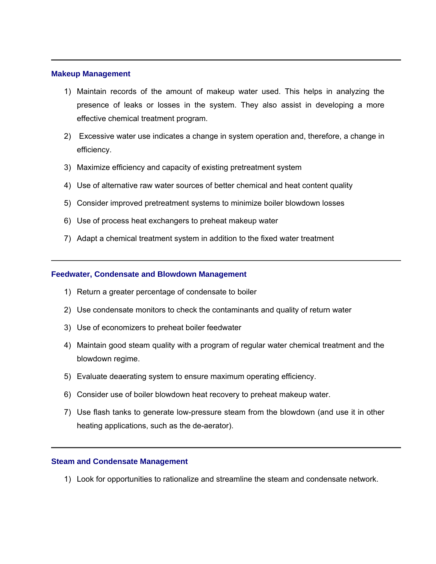#### **Makeup Management**

- 1) Maintain records of the amount of makeup water used. This helps in analyzing the presence of leaks or losses in the system. They also assist in developing a more effective chemical treatment program.
- 2) Excessive water use indicates a change in system operation and, therefore, a change in efficiency.
- 3) Maximize efficiency and capacity of existing pretreatment system
- 4) Use of alternative raw water sources of better chemical and heat content quality
- 5) Consider improved pretreatment systems to minimize boiler blowdown losses
- 6) Use of process heat exchangers to preheat makeup water
- 7) Adapt a chemical treatment system in addition to the fixed water treatment

#### **Feedwater, Condensate and Blowdown Management**

- 1) Return a greater percentage of condensate to boiler
- 2) Use condensate monitors to check the contaminants and quality of return water
- 3) Use of economizers to preheat boiler feedwater
- 4) Maintain good steam quality with a program of regular water chemical treatment and the blowdown regime.
- 5) Evaluate deaerating system to ensure maximum operating efficiency.
- 6) Consider use of boiler blowdown heat recovery to preheat makeup water.
- 7) Use flash tanks to generate low-pressure steam from the blowdown (and use it in other heating applications, such as the de-aerator).

#### **Steam and Condensate Management**

1) Look for opportunities to rationalize and streamline the steam and condensate network.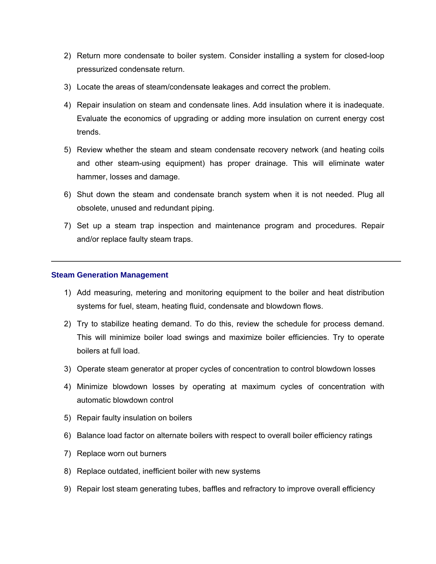- 2) Return more condensate to boiler system. Consider installing a system for closed-loop pressurized condensate return.
- 3) Locate the areas of steam/condensate leakages and correct the problem.
- 4) Repair insulation on steam and condensate lines. Add insulation where it is inadequate. Evaluate the economics of upgrading or adding more insulation on current energy cost trends.
- 5) Review whether the steam and steam condensate recovery network (and heating coils and other steam-using equipment) has proper drainage. This will eliminate water hammer, losses and damage.
- 6) Shut down the steam and condensate branch system when it is not needed. Plug all obsolete, unused and redundant piping.
- 7) Set up a steam trap inspection and maintenance program and procedures. Repair and/or replace faulty steam traps.

#### **Steam Generation Management**

- 1) Add measuring, metering and monitoring equipment to the boiler and heat distribution systems for fuel, steam, heating fluid, condensate and blowdown flows.
- 2) Try to stabilize heating demand. To do this, review the schedule for process demand. This will minimize boiler load swings and maximize boiler efficiencies. Try to operate boilers at full load.
- 3) Operate steam generator at proper cycles of concentration to control blowdown losses
- 4) Minimize blowdown losses by operating at maximum cycles of concentration with automatic blowdown control
- 5) Repair faulty insulation on boilers
- 6) Balance load factor on alternate boilers with respect to overall boiler efficiency ratings
- 7) Replace worn out burners
- 8) Replace outdated, inefficient boiler with new systems
- 9) Repair lost steam generating tubes, baffles and refractory to improve overall efficiency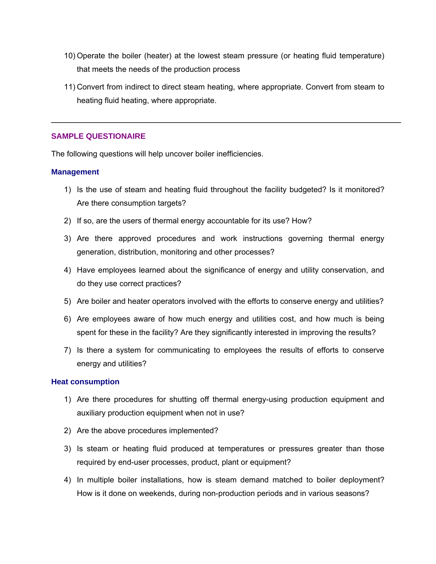- 10) Operate the boiler (heater) at the lowest steam pressure (or heating fluid temperature) that meets the needs of the production process
- 11) Convert from indirect to direct steam heating, where appropriate. Convert from steam to heating fluid heating, where appropriate.

# **SAMPLE QUESTIONAIRE**

The following questions will help uncover boiler inefficiencies.

# **Management**

- 1) Is the use of steam and heating fluid throughout the facility budgeted? Is it monitored? Are there consumption targets?
- 2) If so, are the users of thermal energy accountable for its use? How?
- 3) Are there approved procedures and work instructions governing thermal energy generation, distribution, monitoring and other processes?
- 4) Have employees learned about the significance of energy and utility conservation, and do they use correct practices?
- 5) Are boiler and heater operators involved with the efforts to conserve energy and utilities?
- 6) Are employees aware of how much energy and utilities cost, and how much is being spent for these in the facility? Are they significantly interested in improving the results?
- 7) Is there a system for communicating to employees the results of efforts to conserve energy and utilities?

#### **Heat consumption**

- 1) Are there procedures for shutting off thermal energy-using production equipment and auxiliary production equipment when not in use?
- 2) Are the above procedures implemented?
- 3) Is steam or heating fluid produced at temperatures or pressures greater than those required by end-user processes, product, plant or equipment?
- 4) In multiple boiler installations, how is steam demand matched to boiler deployment? How is it done on weekends, during non-production periods and in various seasons?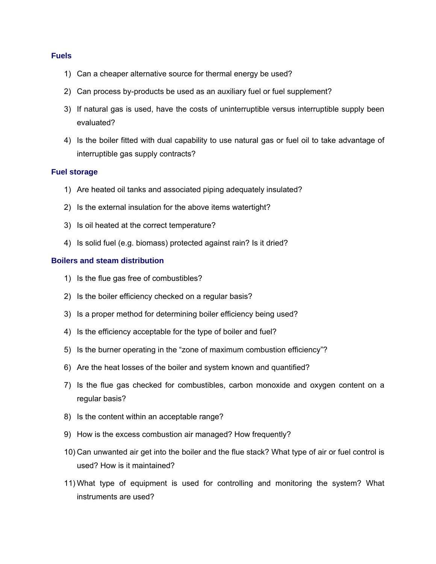#### **Fuels**

- 1) Can a cheaper alternative source for thermal energy be used?
- 2) Can process by-products be used as an auxiliary fuel or fuel supplement?
- 3) If natural gas is used, have the costs of uninterruptible versus interruptible supply been evaluated?
- 4) Is the boiler fitted with dual capability to use natural gas or fuel oil to take advantage of interruptible gas supply contracts?

# **Fuel storage**

- 1) Are heated oil tanks and associated piping adequately insulated?
- 2) Is the external insulation for the above items watertight?
- 3) Is oil heated at the correct temperature?
- 4) Is solid fuel (e.g. biomass) protected against rain? Is it dried?

# **Boilers and steam distribution**

- 1) Is the flue gas free of combustibles?
- 2) Is the boiler efficiency checked on a regular basis?
- 3) Is a proper method for determining boiler efficiency being used?
- 4) Is the efficiency acceptable for the type of boiler and fuel?
- 5) Is the burner operating in the "zone of maximum combustion efficiency"?
- 6) Are the heat losses of the boiler and system known and quantified?
- 7) Is the flue gas checked for combustibles, carbon monoxide and oxygen content on a regular basis?
- 8) Is the content within an acceptable range?
- 9) How is the excess combustion air managed? How frequently?
- 10) Can unwanted air get into the boiler and the flue stack? What type of air or fuel control is used? How is it maintained?
- 11) What type of equipment is used for controlling and monitoring the system? What instruments are used?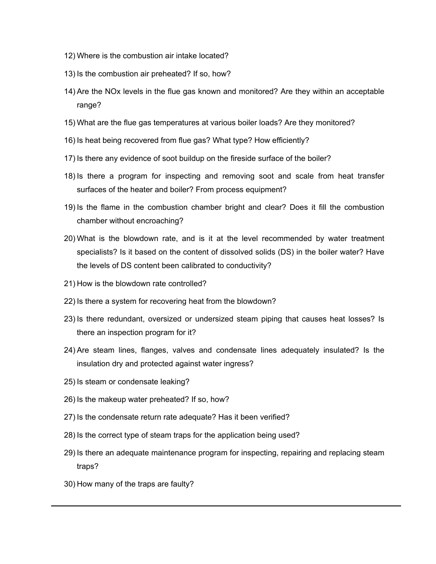- 12) Where is the combustion air intake located?
- 13) Is the combustion air preheated? If so, how?
- 14) Are the NOx levels in the flue gas known and monitored? Are they within an acceptable range?
- 15) What are the flue gas temperatures at various boiler loads? Are they monitored?
- 16) Is heat being recovered from flue gas? What type? How efficiently?
- 17) Is there any evidence of soot buildup on the fireside surface of the boiler?
- 18) Is there a program for inspecting and removing soot and scale from heat transfer surfaces of the heater and boiler? From process equipment?
- 19) Is the flame in the combustion chamber bright and clear? Does it fill the combustion chamber without encroaching?
- 20) What is the blowdown rate, and is it at the level recommended by water treatment specialists? Is it based on the content of dissolved solids (DS) in the boiler water? Have the levels of DS content been calibrated to conductivity?
- 21) How is the blowdown rate controlled?
- 22) Is there a system for recovering heat from the blowdown?
- 23) Is there redundant, oversized or undersized steam piping that causes heat losses? Is there an inspection program for it?
- 24) Are steam lines, flanges, valves and condensate lines adequately insulated? Is the insulation dry and protected against water ingress?
- 25) Is steam or condensate leaking?
- 26) Is the makeup water preheated? If so, how?
- 27) Is the condensate return rate adequate? Has it been verified?
- 28) Is the correct type of steam traps for the application being used?
- 29) Is there an adequate maintenance program for inspecting, repairing and replacing steam traps?
- 30) How many of the traps are faulty?